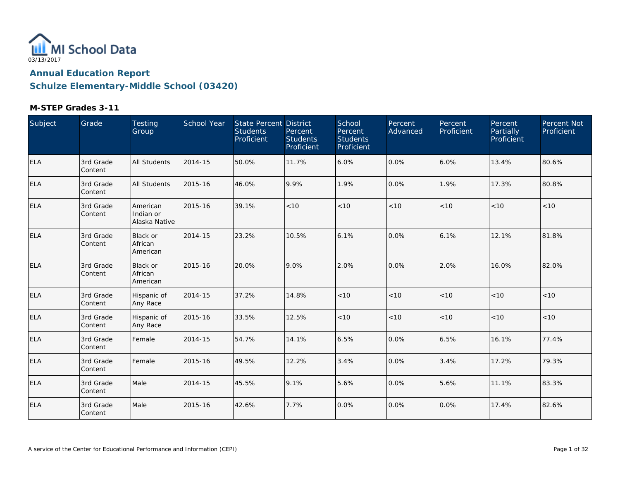

| Subject    | Grade                 | Testing<br>Group                       | School Year | State Percent District<br><b>Students</b><br>Proficient | Percent<br><b>Students</b><br>Proficient | School<br>Percent<br><b>Students</b><br>Proficient | Percent<br>Advanced | Percent<br>Proficient | Percent<br><b>Partially</b><br>Proficient | Percent Not<br>Proficient |
|------------|-----------------------|----------------------------------------|-------------|---------------------------------------------------------|------------------------------------------|----------------------------------------------------|---------------------|-----------------------|-------------------------------------------|---------------------------|
| ELA        | 3rd Grade<br>Content  | All Students                           | 2014-15     | 50.0%                                                   | 11.7%                                    | 6.0%                                               | 0.0%                | 6.0%                  | 13.4%                                     | 80.6%                     |
| <b>ELA</b> | 3rd Grade<br> Content | <b>All Students</b>                    | 2015-16     | 46.0%                                                   | 9.9%                                     | 1.9%                                               | 0.0%                | 1.9%                  | 17.3%                                     | 80.8%                     |
| <b>ELA</b> | 3rd Grade<br>Content  | American<br>Indian or<br>Alaska Native | 2015-16     | 39.1%                                                   | < 10                                     | < 10                                               | < 10                | < 10                  | < 10                                      | < 10                      |
| <b>ELA</b> | 3rd Grade<br>Content  | <b>Black or</b><br>African<br>American | 2014-15     | 23.2%                                                   | 10.5%                                    | 6.1%                                               | 0.0%                | 6.1%                  | 12.1%                                     | 81.8%                     |
| ELA        | 3rd Grade<br>Content  | <b>Black or</b><br>African<br>American | 2015-16     | 20.0%                                                   | 9.0%                                     | 2.0%                                               | 0.0%                | 2.0%                  | 16.0%                                     | 82.0%                     |
| <b>ELA</b> | 3rd Grade<br>Content  | Hispanic of<br>Any Race                | 2014-15     | 37.2%                                                   | 14.8%                                    | < 10                                               | < 10                | < 10                  | < 10                                      | < 10                      |
| <b>ELA</b> | 3rd Grade<br>Content  | Hispanic of<br>Any Race                | 2015-16     | 33.5%                                                   | 12.5%                                    | $<10$                                              | < 10                | $<10$                 | < 10                                      | < 10                      |
| <b>ELA</b> | 3rd Grade<br>Content  | Female                                 | 2014-15     | 54.7%                                                   | 14.1%                                    | 6.5%                                               | 0.0%                | 6.5%                  | 16.1%                                     | 77.4%                     |
| <b>ELA</b> | 3rd Grade<br>Content  | Female                                 | 2015-16     | 49.5%                                                   | 12.2%                                    | 3.4%                                               | 0.0%                | 3.4%                  | 17.2%                                     | 79.3%                     |
| <b>ELA</b> | 3rd Grade<br>Content  | Male                                   | 2014-15     | 45.5%                                                   | 9.1%                                     | 5.6%                                               | 0.0%                | 5.6%                  | 11.1%                                     | 83.3%                     |
| <b>ELA</b> | 3rd Grade<br>Content  | Male                                   | 2015-16     | 42.6%                                                   | 7.7%                                     | 0.0%                                               | 0.0%                | 0.0%                  | 17.4%                                     | 82.6%                     |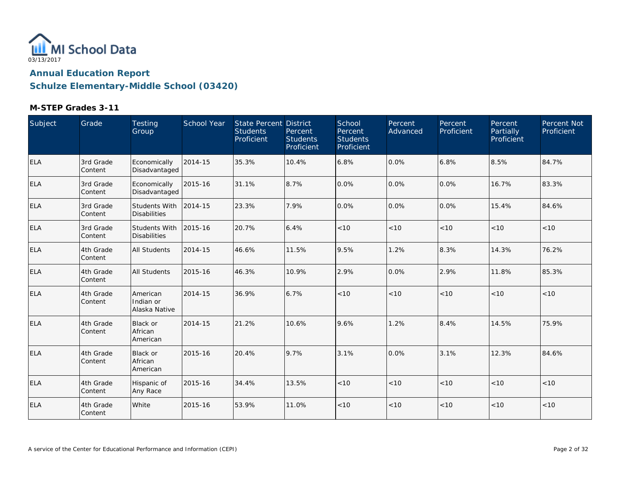

| Subject    | Grade                 | Testing<br>Group                       | School Year | <b>State Percent District</b><br><b>Students</b><br>Proficient | Percent<br><b>Students</b><br>Proficient | School<br>Percent<br><b>Students</b><br>Proficient | Percent<br>Advanced | Percent<br>Proficient | Percent<br><b>Partially</b><br>Proficient | Percent Not<br>Proficient |
|------------|-----------------------|----------------------------------------|-------------|----------------------------------------------------------------|------------------------------------------|----------------------------------------------------|---------------------|-----------------------|-------------------------------------------|---------------------------|
| <b>ELA</b> | 3rd Grade<br>Content  | Economically<br>Disadvantaged          | 2014-15     | 35.3%                                                          | 10.4%                                    | 6.8%                                               | 0.0%                | 6.8%                  | 8.5%                                      | 84.7%                     |
| <b>ELA</b> | 3rd Grade<br> Content | Economically<br>Disadvantaged          | 2015-16     | 31.1%                                                          | 8.7%                                     | 0.0%                                               | 0.0%                | 0.0%                  | 16.7%                                     | 83.3%                     |
| ELA        | 3rd Grade<br>Content  | Students With<br><b>Disabilities</b>   | 2014-15     | 23.3%                                                          | 7.9%                                     | 0.0%                                               | 0.0%                | 0.0%                  | 15.4%                                     | 84.6%                     |
| ELA        | 3rd Grade<br>Content  | Students With<br><b>Disabilities</b>   | 2015-16     | 20.7%                                                          | 6.4%                                     | < 10                                               | < 10                | < 10                  | < 10                                      | < 10                      |
| <b>ELA</b> | 4th Grade<br>Content  | <b>All Students</b>                    | 2014-15     | 46.6%                                                          | 11.5%                                    | 9.5%                                               | 1.2%                | 8.3%                  | 14.3%                                     | 76.2%                     |
| ELA        | 4th Grade<br>Content  | All Students                           | 2015-16     | 46.3%                                                          | 10.9%                                    | 2.9%                                               | 0.0%                | 2.9%                  | 11.8%                                     | 85.3%                     |
| <b>ELA</b> | 4th Grade<br>Content  | American<br>Indian or<br>Alaska Native | 2014-15     | 36.9%                                                          | 6.7%                                     | < 10                                               | < 10                | < 10                  | < 10                                      | < 10                      |
| <b>ELA</b> | 4th Grade<br>Content  | Black or<br>African<br>American        | 2014-15     | 21.2%                                                          | 10.6%                                    | 9.6%                                               | 1.2%                | 8.4%                  | 14.5%                                     | 75.9%                     |
| <b>ELA</b> | 4th Grade<br>Content  | <b>Black or</b><br>African<br>American | 2015-16     | 20.4%                                                          | 9.7%                                     | 3.1%                                               | 0.0%                | 3.1%                  | 12.3%                                     | 84.6%                     |
| <b>ELA</b> | 4th Grade<br>Content  | Hispanic of<br>Any Race                | 2015-16     | 34.4%                                                          | 13.5%                                    | < 10                                               | < 10                | < 10                  | < 10                                      | < 10                      |
| <b>ELA</b> | 4th Grade<br>Content  | White                                  | 2015-16     | 53.9%                                                          | 11.0%                                    | < 10                                               | < 10                | < 10                  | < 10                                      | < 10                      |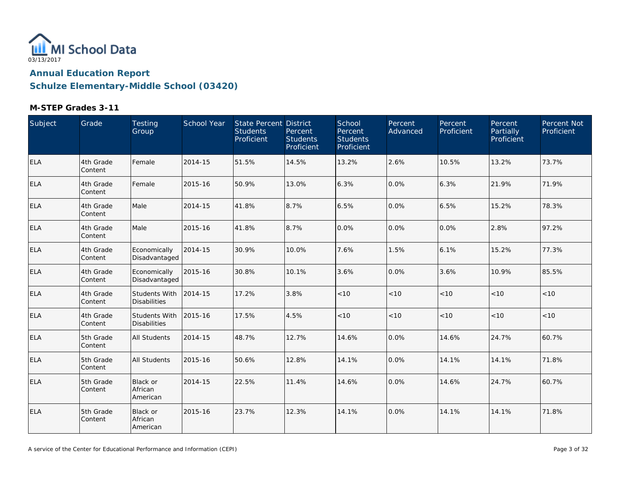

| Subject    | Grade                | Testing<br>Group                     | School Year | <b>State Percent District</b><br><b>Students</b><br>Proficient | Percent<br><b>Students</b><br>Proficient | School<br>Percent<br><b>Students</b><br>Proficient | Percent<br>Advanced | Percent<br>Proficient | Percent<br>Partially<br>Proficient | Percent Not<br>Proficient |
|------------|----------------------|--------------------------------------|-------------|----------------------------------------------------------------|------------------------------------------|----------------------------------------------------|---------------------|-----------------------|------------------------------------|---------------------------|
| <b>ELA</b> | 4th Grade<br>Content | Female                               | 2014-15     | 51.5%                                                          | 14.5%                                    | 13.2%                                              | 2.6%                | 10.5%                 | 13.2%                              | 73.7%                     |
| <b>ELA</b> | 4th Grade<br>Content | Female                               | 2015-16     | 50.9%                                                          | 13.0%                                    | 6.3%                                               | 0.0%                | 6.3%                  | 21.9%                              | 71.9%                     |
| <b>ELA</b> | 4th Grade<br>Content | Male                                 | 2014-15     | 41.8%                                                          | 8.7%                                     | 6.5%                                               | 0.0%                | 6.5%                  | 15.2%                              | 78.3%                     |
| <b>ELA</b> | 4th Grade<br>Content | Male                                 | 2015-16     | 41.8%                                                          | 8.7%                                     | 0.0%                                               | 0.0%                | 0.0%                  | 2.8%                               | 97.2%                     |
| <b>ELA</b> | 4th Grade<br>Content | Economically<br>Disadvantaged        | 2014-15     | 30.9%                                                          | 10.0%                                    | 7.6%                                               | 1.5%                | 6.1%                  | 15.2%                              | 77.3%                     |
| <b>ELA</b> | 4th Grade<br>Content | Economically<br>Disadvantaged        | 2015-16     | 30.8%                                                          | 10.1%                                    | 3.6%                                               | 0.0%                | 3.6%                  | 10.9%                              | 85.5%                     |
| <b>ELA</b> | 4th Grade<br>Content | Students With<br><b>Disabilities</b> | 2014-15     | 17.2%                                                          | 3.8%                                     | < 10                                               | < 10                | < 10                  | < 10                               | < 10                      |
| <b>ELA</b> | 4th Grade<br>Content | Students With<br><b>Disabilities</b> | 2015-16     | 17.5%                                                          | 4.5%                                     | < 10                                               | < 10                | < 10                  | < 10                               | < 10                      |
| <b>ELA</b> | 5th Grade<br>Content | <b>All Students</b>                  | 2014-15     | 48.7%                                                          | 12.7%                                    | 14.6%                                              | 0.0%                | 14.6%                 | 24.7%                              | 60.7%                     |
| <b>ELA</b> | 5th Grade<br>Content | <b>All Students</b>                  | 2015-16     | 50.6%                                                          | 12.8%                                    | 14.1%                                              | 0.0%                | 14.1%                 | 14.1%                              | 71.8%                     |
| <b>ELA</b> | 5th Grade<br>Content | Black or<br>African<br>American      | 2014-15     | 22.5%                                                          | 11.4%                                    | 14.6%                                              | 0.0%                | 14.6%                 | 24.7%                              | 60.7%                     |
| <b>ELA</b> | 5th Grade<br>Content | Black or<br>African<br>American      | 2015-16     | 23.7%                                                          | 12.3%                                    | 14.1%                                              | 0.0%                | 14.1%                 | 14.1%                              | 71.8%                     |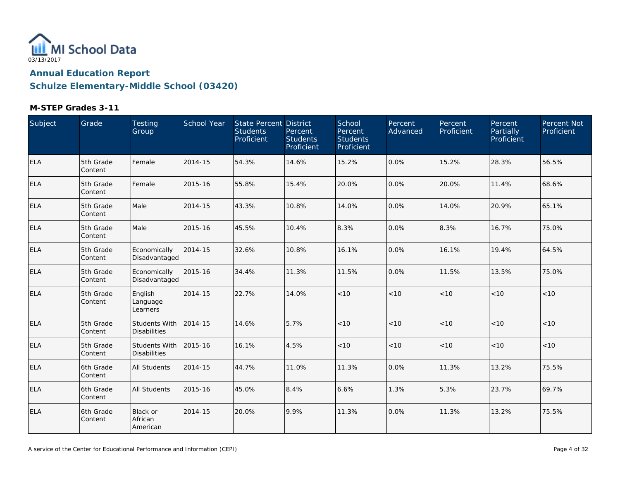

| Subject    | Grade                 | Testing<br>Group                            | School Year | State Percent District<br><b>Students</b><br>Proficient | Percent<br><b>Students</b><br>Proficient | School<br>Percent<br><b>Students</b><br>Proficient | <b>Percent</b><br>Advanced | Percent<br>Proficient | Percent<br>Partially<br>Proficient | Percent Not<br>Proficient |
|------------|-----------------------|---------------------------------------------|-------------|---------------------------------------------------------|------------------------------------------|----------------------------------------------------|----------------------------|-----------------------|------------------------------------|---------------------------|
| <b>ELA</b> | 5th Grade<br>Content  | Female                                      | 2014-15     | 54.3%                                                   | 14.6%                                    | 15.2%                                              | 0.0%                       | 15.2%                 | 28.3%                              | 56.5%                     |
| <b>ELA</b> | 5th Grade<br>Content  | Female                                      | 2015-16     | 55.8%                                                   | 15.4%                                    | 20.0%                                              | 0.0%                       | 20.0%                 | 11.4%                              | 68.6%                     |
| <b>ELA</b> | 5th Grade<br>Content  | Male                                        | 2014-15     | 43.3%                                                   | 10.8%                                    | 14.0%                                              | 0.0%                       | 14.0%                 | 20.9%                              | 65.1%                     |
| <b>ELA</b> | 5th Grade<br>Content  | Male                                        | 2015-16     | 45.5%                                                   | 10.4%                                    | 8.3%                                               | 0.0%                       | 8.3%                  | 16.7%                              | 75.0%                     |
| ELA        | 5th Grade<br>Content  | Economically<br>Disadvantaged               | 2014-15     | 32.6%                                                   | 10.8%                                    | 16.1%                                              | 0.0%                       | 16.1%                 | 19.4%                              | 64.5%                     |
| <b>ELA</b> | 5th Grade<br> Content | Economically<br>Disadvantaged               | 2015-16     | 34.4%                                                   | 11.3%                                    | 11.5%                                              | 0.0%                       | 11.5%                 | 13.5%                              | 75.0%                     |
| <b>ELA</b> | 5th Grade<br>Content  | English<br>Language<br>Learners             | 2014-15     | 22.7%                                                   | 14.0%                                    | < 10                                               | < 10                       | < 10                  | < 10                               | < 10                      |
| <b>ELA</b> | 5th Grade<br>Content  | <b>Students With</b><br><b>Disabilities</b> | 2014-15     | 14.6%                                                   | 5.7%                                     | < 10                                               | < 10                       | < 10                  | < 10                               | < 10                      |
| <b>ELA</b> | 5th Grade<br>Content  | Students With<br><b>Disabilities</b>        | 2015-16     | 16.1%                                                   | 4.5%                                     | < 10                                               | < 10                       | < 10                  | < 10                               | < 10                      |
| <b>ELA</b> | 6th Grade<br>Content  | <b>All Students</b>                         | 2014-15     | 44.7%                                                   | 11.0%                                    | 11.3%                                              | 0.0%                       | 11.3%                 | 13.2%                              | 75.5%                     |
| <b>ELA</b> | 6th Grade<br>lContent | <b>All Students</b>                         | 2015-16     | 45.0%                                                   | 8.4%                                     | 6.6%                                               | 1.3%                       | 5.3%                  | 23.7%                              | 69.7%                     |
| <b>ELA</b> | 6th Grade<br>Content  | Black or<br>African<br>American             | 2014-15     | 20.0%                                                   | 9.9%                                     | 11.3%                                              | 0.0%                       | 11.3%                 | 13.2%                              | 75.5%                     |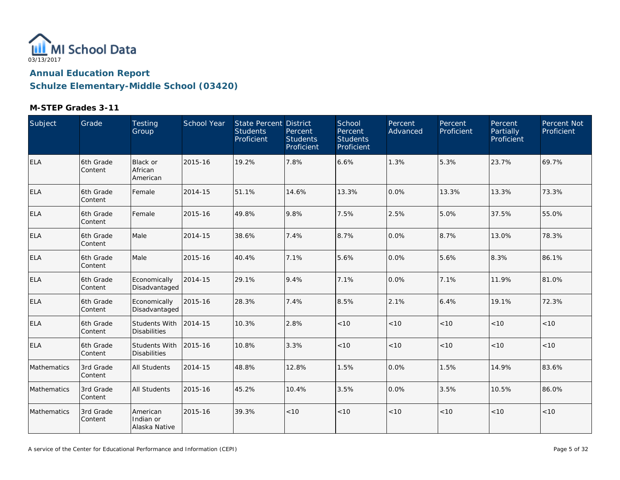

| Subject     | Grade                 | Testing<br>Group                       | School Year | State Percent District<br><b>Students</b><br>Proficient | Percent<br><b>Students</b><br>Proficient | School<br>Percent<br><b>Students</b><br>Proficient | Percent<br>Advanced | Percent<br>Proficient | Percent<br>Partially<br>Proficient | Percent Not<br>Proficient |
|-------------|-----------------------|----------------------------------------|-------------|---------------------------------------------------------|------------------------------------------|----------------------------------------------------|---------------------|-----------------------|------------------------------------|---------------------------|
| <b>ELA</b>  | 6th Grade<br>Content  | <b>Black or</b><br>African<br>American | 2015-16     | 19.2%                                                   | 7.8%                                     | 6.6%                                               | 1.3%                | 5.3%                  | 23.7%                              | 69.7%                     |
| <b>ELA</b>  | 6th Grade<br>Content  | Female                                 | 2014-15     | 51.1%                                                   | 14.6%                                    | 13.3%                                              | 0.0%                | 13.3%                 | 13.3%                              | 73.3%                     |
| <b>ELA</b>  | 6th Grade<br>Content  | Female                                 | 2015-16     | 49.8%                                                   | 9.8%                                     | 7.5%                                               | 2.5%                | 5.0%                  | 37.5%                              | 55.0%                     |
| <b>ELA</b>  | 6th Grade<br>Content  | Male                                   | 2014-15     | 38.6%                                                   | 7.4%                                     | 8.7%                                               | 0.0%                | 8.7%                  | 13.0%                              | 78.3%                     |
| <b>ELA</b>  | 6th Grade<br>Content  | Male                                   | 2015-16     | 40.4%                                                   | 7.1%                                     | 5.6%                                               | 0.0%                | 5.6%                  | 8.3%                               | 86.1%                     |
| <b>ELA</b>  | 6th Grade<br>Content  | Economically<br>Disadvantaged          | 2014-15     | 29.1%                                                   | 9.4%                                     | 7.1%                                               | 0.0%                | 7.1%                  | 11.9%                              | 81.0%                     |
| ELA         | 6th Grade<br>Content  | Economically<br>Disadvantaged          | 2015-16     | 28.3%                                                   | 7.4%                                     | 8.5%                                               | 2.1%                | 6.4%                  | 19.1%                              | 72.3%                     |
| <b>ELA</b>  | 6th Grade<br>Content  | Students With<br><b>Disabilities</b>   | 2014-15     | 10.3%                                                   | 2.8%                                     | < 10                                               | < 10                | < 10                  | < 10                               | < 10                      |
| <b>ELA</b>  | 6th Grade<br>Content  | Students With<br><b>Disabilities</b>   | 2015-16     | 10.8%                                                   | 3.3%                                     | < 10                                               | < 10                | < 10                  | < 10                               | < 10                      |
| Mathematics | 3rd Grade<br>Content  | <b>All Students</b>                    | 2014-15     | 48.8%                                                   | 12.8%                                    | 1.5%                                               | 0.0%                | 1.5%                  | 14.9%                              | 83.6%                     |
| Mathematics | 3rd Grade<br> Content | <b>All Students</b>                    | 2015-16     | 45.2%                                                   | 10.4%                                    | 3.5%                                               | 0.0%                | 3.5%                  | 10.5%                              | 86.0%                     |
| Mathematics | 3rd Grade<br>Content  | American<br>Indian or<br>Alaska Native | 2015-16     | 39.3%                                                   | <10                                      | $<10$                                              | < 10                | < 10                  | < 10                               | < 10                      |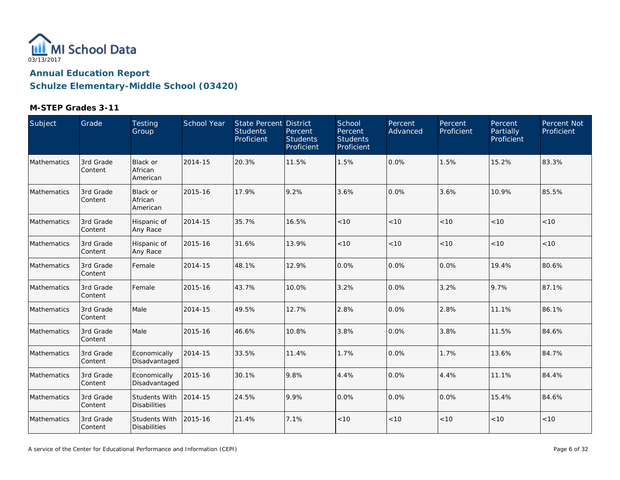

| Subject     | Grade                | Testing<br>Group                       | School Year | State Percent District<br><b>Students</b><br>Proficient | Percent<br><b>Students</b><br>Proficient | School<br>Percent<br><b>Students</b><br>Proficient | Percent<br>Advanced | Percent<br>Proficient | Percent<br>Partially<br>Proficient | Percent Not<br>Proficient |
|-------------|----------------------|----------------------------------------|-------------|---------------------------------------------------------|------------------------------------------|----------------------------------------------------|---------------------|-----------------------|------------------------------------|---------------------------|
| Mathematics | 3rd Grade<br>Content | Black or<br>African<br>American        | 2014-15     | 20.3%                                                   | 11.5%                                    | 1.5%                                               | 0.0%                | 1.5%                  | 15.2%                              | 83.3%                     |
| Mathematics | 3rd Grade<br>Content | <b>Black or</b><br>African<br>American | 2015-16     | 17.9%                                                   | 9.2%                                     | 3.6%                                               | 0.0%                | 3.6%                  | 10.9%                              | 85.5%                     |
| Mathematics | 3rd Grade<br>Content | Hispanic of<br>Any Race                | 2014-15     | 35.7%                                                   | 16.5%                                    | < 10                                               | < 10                | < 10                  | < 10                               | < 10                      |
| Mathematics | 3rd Grade<br>Content | Hispanic of<br>Any Race                | 2015-16     | 31.6%                                                   | 13.9%                                    | < 10                                               | < 10                | < 10                  | < 10                               | < 10                      |
| Mathematics | 3rd Grade<br>Content | Female                                 | 2014-15     | 48.1%                                                   | 12.9%                                    | 0.0%                                               | 0.0%                | 0.0%                  | 19.4%                              | 80.6%                     |
| Mathematics | 3rd Grade<br>Content | Female                                 | 2015-16     | 43.7%                                                   | 10.0%                                    | 3.2%                                               | 0.0%                | 3.2%                  | 9.7%                               | 87.1%                     |
| Mathematics | 3rd Grade<br>Content | Male                                   | 2014-15     | 49.5%                                                   | 12.7%                                    | 2.8%                                               | 0.0%                | 2.8%                  | 11.1%                              | 86.1%                     |
| Mathematics | 3rd Grade<br>Content | Male                                   | 2015-16     | 46.6%                                                   | 10.8%                                    | 3.8%                                               | 0.0%                | 3.8%                  | 11.5%                              | 84.6%                     |
| Mathematics | 3rd Grade<br>Content | Economically<br>Disadvantaged          | 2014-15     | 33.5%                                                   | 11.4%                                    | 1.7%                                               | 0.0%                | 1.7%                  | 13.6%                              | 84.7%                     |
| Mathematics | 3rd Grade<br>Content | Economically<br>Disadvantaged          | 2015-16     | 30.1%                                                   | 9.8%                                     | 4.4%                                               | 0.0%                | 4.4%                  | 11.1%                              | 84.4%                     |
| Mathematics | 3rd Grade<br>Content | Students With<br><b>Disabilities</b>   | 2014-15     | 24.5%                                                   | 9.9%                                     | 0.0%                                               | 0.0%                | 0.0%                  | 15.4%                              | 84.6%                     |
| Mathematics | 3rd Grade<br>Content | Students With<br><b>Disabilities</b>   | 2015-16     | 21.4%                                                   | 7.1%                                     | < 10                                               | < 10                | < 10                  | < 10                               | < 10                      |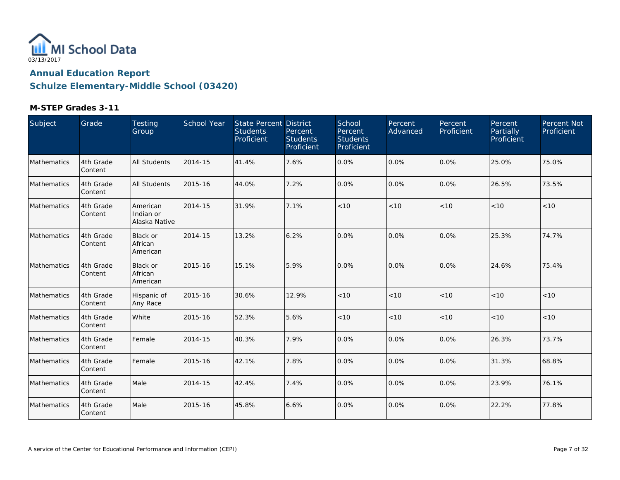

| Subject     | Grade                | Testing<br>Group                       | School Year | State Percent District<br><b>Students</b><br>Proficient | Percent<br><b>Students</b><br>Proficient | School<br>Percent<br><b>Students</b><br>Proficient | Percent<br>Advanced | Percent<br>Proficient | Percent<br><b>Partially</b><br>Proficient | Percent Not<br>Proficient |
|-------------|----------------------|----------------------------------------|-------------|---------------------------------------------------------|------------------------------------------|----------------------------------------------------|---------------------|-----------------------|-------------------------------------------|---------------------------|
| Mathematics | 4th Grade<br>Content | <b>All Students</b>                    | 2014-15     | 41.4%                                                   | 7.6%                                     | 0.0%                                               | 0.0%                | $0.0\%$               | 25.0%                                     | 75.0%                     |
| Mathematics | 4th Grade<br>Content | <b>All Students</b>                    | 2015-16     | 44.0%                                                   | 7.2%                                     | 0.0%                                               | 0.0%                | 0.0%                  | 26.5%                                     | 73.5%                     |
| Mathematics | 4th Grade<br>Content | American<br>Indian or<br>Alaska Native | 2014-15     | 31.9%                                                   | 7.1%                                     | < 10                                               | < 10                | < 10                  | < 10                                      | $<10$                     |
| Mathematics | 4th Grade<br>Content | Black or<br>African<br>American        | 2014-15     | 13.2%                                                   | 6.2%                                     | 0.0%                                               | 0.0%                | 0.0%                  | 25.3%                                     | 74.7%                     |
| Mathematics | 4th Grade<br>Content | <b>Black or</b><br>African<br>American | 2015-16     | 15.1%                                                   | 5.9%                                     | 0.0%                                               | 0.0%                | 0.0%                  | 24.6%                                     | 75.4%                     |
| Mathematics | 4th Grade<br>Content | Hispanic of<br>Any Race                | 2015-16     | 30.6%                                                   | 12.9%                                    | < 10                                               | < 10                | < 10                  | < 10                                      | < 10                      |
| Mathematics | 4th Grade<br>Content | White                                  | 2015-16     | 52.3%                                                   | 5.6%                                     | < 10                                               | < 10                | < 10                  | < 10                                      | $<10$                     |
| Mathematics | 4th Grade<br>Content | Female                                 | 2014-15     | 40.3%                                                   | 7.9%                                     | 0.0%                                               | 0.0%                | $0.0\%$               | 26.3%                                     | 73.7%                     |
| Mathematics | 4th Grade<br>Content | Female                                 | 2015-16     | 42.1%                                                   | 7.8%                                     | 0.0%                                               | 0.0%                | 0.0%                  | 31.3%                                     | 68.8%                     |
| Mathematics | 4th Grade<br>Content | Male                                   | 2014-15     | 42.4%                                                   | 7.4%                                     | 0.0%                                               | 0.0%                | 0.0%                  | 23.9%                                     | 76.1%                     |
| Mathematics | 4th Grade<br>Content | Male                                   | 2015-16     | 45.8%                                                   | 6.6%                                     | 0.0%                                               | 0.0%                | $0.0\%$               | 22.2%                                     | 77.8%                     |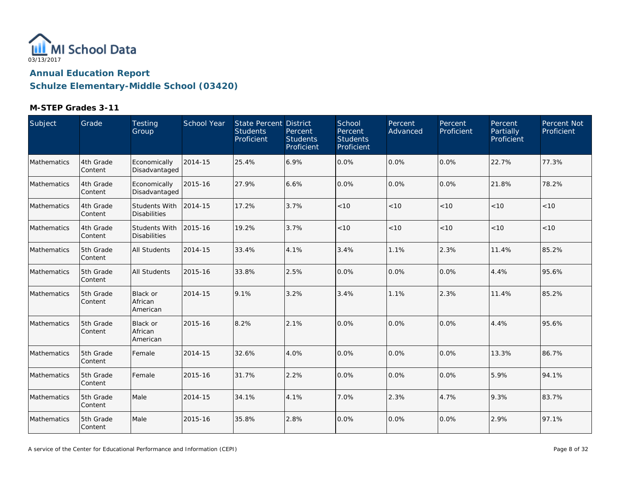

| Subject     | Grade                | Testing<br>Group                            | School Year | State Percent District<br><b>Students</b><br>Proficient | Percent<br><b>Students</b><br>Proficient | School<br>Percent<br><b>Students</b><br><b>Proficient</b> | Percent<br>Advanced | Percent<br>Proficient | Percent<br>Partially<br>Proficient | Percent Not<br>Proficient |
|-------------|----------------------|---------------------------------------------|-------------|---------------------------------------------------------|------------------------------------------|-----------------------------------------------------------|---------------------|-----------------------|------------------------------------|---------------------------|
| Mathematics | 4th Grade<br>Content | Economically<br>Disadvantaged               | 2014-15     | 25.4%                                                   | 6.9%                                     | 0.0%                                                      | 0.0%                | 0.0%                  | 22.7%                              | 77.3%                     |
| Mathematics | 4th Grade<br>Content | Economically<br>Disadvantaged               | 2015-16     | 27.9%                                                   | 6.6%                                     | 0.0%                                                      | 0.0%                | 0.0%                  | 21.8%                              | 78.2%                     |
| Mathematics | 4th Grade<br>Content | <b>Students With</b><br><b>Disabilities</b> | 2014-15     | 17.2%                                                   | 3.7%                                     | $<10$                                                     | < 10                | < 10                  | < 10                               | < 10                      |
| Mathematics | 4th Grade<br>Content | Students With<br><b>Disabilities</b>        | 2015-16     | 19.2%                                                   | 3.7%                                     | < 10                                                      | < 10                | < 10                  | < 10                               | < 10                      |
| Mathematics | 5th Grade<br>Content | <b>All Students</b>                         | 2014-15     | 33.4%                                                   | 4.1%                                     | 3.4%                                                      | 1.1%                | 2.3%                  | 11.4%                              | 85.2%                     |
| Mathematics | 5th Grade<br>Content | <b>All Students</b>                         | 2015-16     | 33.8%                                                   | 2.5%                                     | 0.0%                                                      | 0.0%                | 0.0%                  | 4.4%                               | 95.6%                     |
| Mathematics | 5th Grade<br>Content | <b>Black or</b><br>African<br>American      | 2014-15     | 9.1%                                                    | 3.2%                                     | 3.4%                                                      | 1.1%                | 2.3%                  | 11.4%                              | 85.2%                     |
| Mathematics | 5th Grade<br>Content | <b>Black or</b><br>African<br>American      | 2015-16     | 8.2%                                                    | 2.1%                                     | 0.0%                                                      | 0.0%                | 0.0%                  | 4.4%                               | 95.6%                     |
| Mathematics | 5th Grade<br>Content | Female                                      | 2014-15     | 32.6%                                                   | 4.0%                                     | 0.0%                                                      | 0.0%                | 0.0%                  | 13.3%                              | 86.7%                     |
| Mathematics | 5th Grade<br>Content | Female                                      | 2015-16     | 31.7%                                                   | 2.2%                                     | 0.0%                                                      | 0.0%                | 0.0%                  | 5.9%                               | 94.1%                     |
| Mathematics | 5th Grade<br>Content | Male                                        | 2014-15     | 34.1%                                                   | 4.1%                                     | 7.0%                                                      | 2.3%                | 4.7%                  | 9.3%                               | 83.7%                     |
| Mathematics | 5th Grade<br>Content | Male                                        | 2015-16     | 35.8%                                                   | 2.8%                                     | 0.0%                                                      | 0.0%                | 0.0%                  | 2.9%                               | 97.1%                     |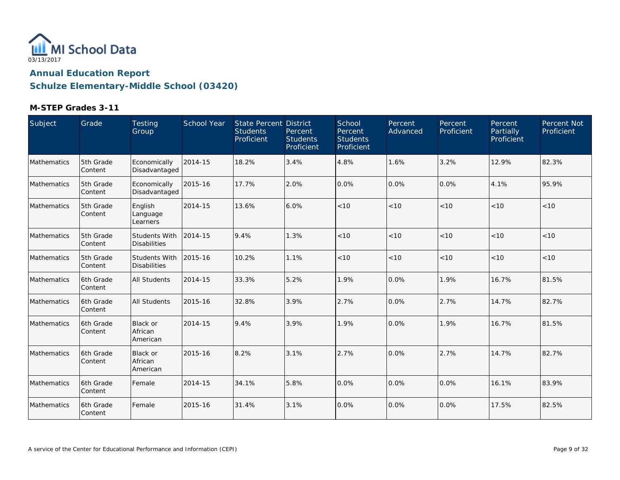

| Subject     | Grade                  | Testing<br>Group                            | School Year | <b>State Percent District</b><br><b>Students</b><br>Proficient | Percent<br><b>Students</b><br>Proficient | School<br>Percent<br><b>Students</b><br>Proficient | Percent<br>Advanced | Percent<br>Proficient | Percent<br>Partially<br>Proficient | Percent Not<br>Proficient |
|-------------|------------------------|---------------------------------------------|-------------|----------------------------------------------------------------|------------------------------------------|----------------------------------------------------|---------------------|-----------------------|------------------------------------|---------------------------|
| Mathematics | 5th Grade<br>Content   | Economically<br>Disadvantaged               | 2014-15     | 18.2%                                                          | 3.4%                                     | 4.8%                                               | 1.6%                | 3.2%                  | 12.9%                              | 82.3%                     |
| Mathematics | 5th Grade<br>Content   | Economically<br>Disadvantaged               | 2015-16     | 17.7%                                                          | 2.0%                                     | 0.0%                                               | 0.0%                | 0.0%                  | 4.1%                               | 95.9%                     |
| Mathematics | 5th Grade<br>Content   | English<br>Language<br>Learners             | 2014-15     | 13.6%                                                          | 6.0%                                     | < 10                                               | < 10                | < 10                  | < 10                               | < 10                      |
| Mathematics | 5th Grade<br>Content   | Students With<br><b>Disabilities</b>        | 2014-15     | 9.4%                                                           | 1.3%                                     | < 10                                               | < 10                | < 10                  | < 10                               | < 10                      |
| Mathematics | 5th Grade<br>Content   | <b>Students With</b><br><b>Disabilities</b> | 2015-16     | 10.2%                                                          | 1.1%                                     | $<10$                                              | < 10                | $<10$                 | < 10                               | < 10                      |
| Mathematics | l6th Grade<br>lContent | <b>All Students</b>                         | 2014-15     | 33.3%                                                          | 5.2%                                     | 1.9%                                               | 0.0%                | 1.9%                  | 16.7%                              | 81.5%                     |
| Mathematics | l6th Grade<br>Content  | <b>All Students</b>                         | 2015-16     | 32.8%                                                          | 3.9%                                     | 2.7%                                               | 0.0%                | 2.7%                  | 14.7%                              | 82.7%                     |
| Mathematics | 6th Grade<br>Content   | Black or<br>African<br>American             | 2014-15     | 9.4%                                                           | 3.9%                                     | 1.9%                                               | 0.0%                | 1.9%                  | 16.7%                              | 81.5%                     |
| Mathematics | 6th Grade<br>Content   | <b>Black or</b><br>African<br>American      | 2015-16     | 8.2%                                                           | 3.1%                                     | 2.7%                                               | 0.0%                | 2.7%                  | 14.7%                              | 82.7%                     |
| Mathematics | 6th Grade<br>Content   | Female                                      | 2014-15     | 34.1%                                                          | 5.8%                                     | 0.0%                                               | 0.0%                | 0.0%                  | 16.1%                              | 83.9%                     |
| Mathematics | 6th Grade<br>Content   | Female                                      | 2015-16     | 31.4%                                                          | 3.1%                                     | 0.0%                                               | 0.0%                | 0.0%                  | 17.5%                              | 82.5%                     |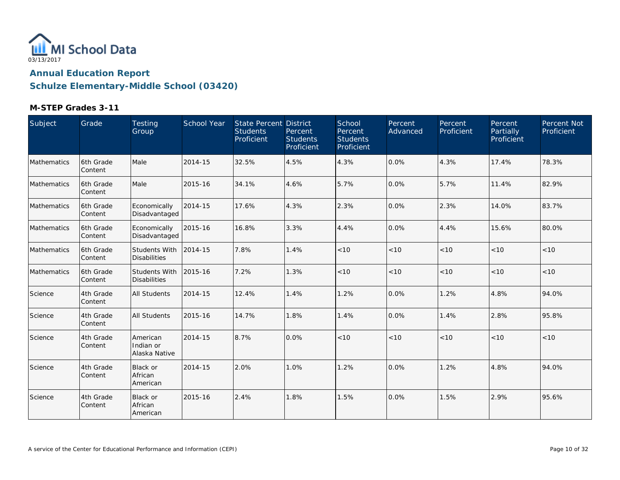

| Subject     | Grade                 | <b>Testing</b><br>Group                     | School Year | <b>State Percent District</b><br><b>Students</b><br>Proficient | Percent<br><b>Students</b><br><b>Proficient</b> | School<br>Percent<br><b>Students</b><br>Proficient | Percent<br>Advanced | Percent<br>Proficient | Percent<br>Partially<br>Proficient | Percent Not<br>Proficient |
|-------------|-----------------------|---------------------------------------------|-------------|----------------------------------------------------------------|-------------------------------------------------|----------------------------------------------------|---------------------|-----------------------|------------------------------------|---------------------------|
| Mathematics | 6th Grade<br>Content  | Male                                        | 2014-15     | 32.5%                                                          | 4.5%                                            | 4.3%                                               | 0.0%                | 4.3%                  | 17.4%                              | 78.3%                     |
| Mathematics | l6th Grade<br>Content | Male                                        | 2015-16     | 34.1%                                                          | 4.6%                                            | 5.7%                                               | 0.0%                | 5.7%                  | 11.4%                              | 82.9%                     |
| Mathematics | l6th Grade<br>Content | Economically<br>Disadvantaged               | 2014-15     | 17.6%                                                          | 4.3%                                            | 2.3%                                               | 0.0%                | 2.3%                  | 14.0%                              | 83.7%                     |
| Mathematics | 6th Grade<br>Content  | Economically<br>Disadvantaged               | 2015-16     | 16.8%                                                          | 3.3%                                            | 4.4%                                               | 0.0%                | 4.4%                  | 15.6%                              | 80.0%                     |
| Mathematics | 6th Grade<br>Content  | <b>Students With</b><br><b>Disabilities</b> | 2014-15     | 7.8%                                                           | 1.4%                                            | $<10$                                              | < 10                | < 10                  | < 10                               | $<10$                     |
| Mathematics | 6th Grade<br>Content  | Students With<br><b>Disabilities</b>        | 2015-16     | 7.2%                                                           | 1.3%                                            | < 10                                               | < 10                | < 10                  | < 10                               | < 10                      |
| Science     | 4th Grade<br>Content  | <b>All Students</b>                         | 2014-15     | 12.4%                                                          | 1.4%                                            | 1.2%                                               | 0.0%                | 1.2%                  | 4.8%                               | 94.0%                     |
| Science     | 4th Grade<br>Content  | <b>All Students</b>                         | 2015-16     | 14.7%                                                          | 1.8%                                            | 1.4%                                               | 0.0%                | 1.4%                  | 2.8%                               | 95.8%                     |
| Science     | 4th Grade<br>Content  | American<br>Indian or<br>Alaska Native      | 2014-15     | 8.7%                                                           | 0.0%                                            | < 10                                               | < 10                | < 10                  | < 10                               | < 10                      |
| Science     | 4th Grade<br>Content  | Black or<br>African<br>American             | 2014-15     | 2.0%                                                           | 1.0%                                            | 1.2%                                               | 0.0%                | 1.2%                  | 4.8%                               | 94.0%                     |
| Science     | 4th Grade<br>Content  | <b>Black or</b><br>African<br>American      | 2015-16     | 2.4%                                                           | 1.8%                                            | 1.5%                                               | 0.0%                | 1.5%                  | 2.9%                               | 95.6%                     |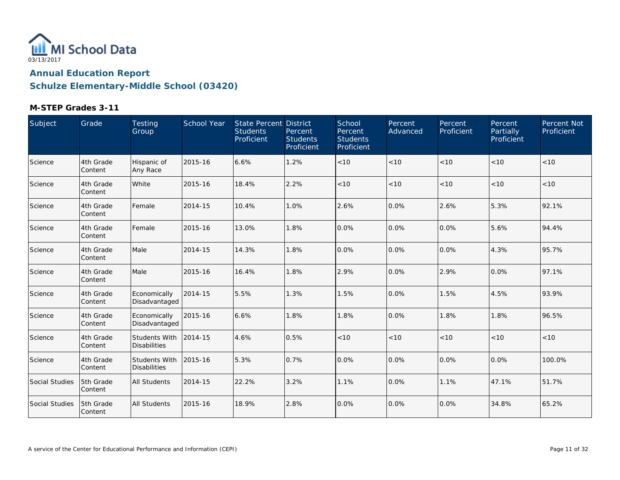

| Subject        | Grade                | Testing<br>Group                            | <b>School Year</b> | State Percent District<br><b>Students</b><br>Proficient | Percent<br><b>Students</b><br>Proficient | School<br>Percent<br><b>Students</b><br>Proficient | Percent<br>Advanced | Percent<br>Proficient | Percent<br>Partially<br>Proficient | Percent Not<br>Proficient |
|----------------|----------------------|---------------------------------------------|--------------------|---------------------------------------------------------|------------------------------------------|----------------------------------------------------|---------------------|-----------------------|------------------------------------|---------------------------|
| Science        | 4th Grade<br>Content | Hispanic of<br>Any Race                     | 2015-16            | 6.6%                                                    | 1.2%                                     | < 10                                               | < 10                | < 10                  | < 10                               | $<10$                     |
| Science        | 4th Grade<br>Content | White                                       | 2015-16            | 18.4%                                                   | 2.2%                                     | < 10                                               | < 10                | < 10                  | < 10                               | $<10$                     |
| Science        | 4th Grade<br>Content | Female                                      | 2014-15            | 10.4%                                                   | 1.0%                                     | 2.6%                                               | 0.0%                | 2.6%                  | 5.3%                               | 92.1%                     |
| Science        | 4th Grade<br>Content | Female                                      | 2015-16            | 13.0%                                                   | 1.8%                                     | 0.0%                                               | 0.0%                | 0.0%                  | 5.6%                               | 94.4%                     |
| Science        | 4th Grade<br>Content | Male                                        | 2014-15            | 14.3%                                                   | 1.8%                                     | 0.0%                                               | 0.0%                | 0.0%                  | 4.3%                               | 95.7%                     |
| Science        | 4th Grade<br>Content | Male                                        | 2015-16            | 16.4%                                                   | 1.8%                                     | 2.9%                                               | 0.0%                | 2.9%                  | 0.0%                               | 97.1%                     |
| Science        | 4th Grade<br>Content | Economically<br>Disadvantaged               | 2014-15            | 5.5%                                                    | 1.3%                                     | 1.5%                                               | 0.0%                | 1.5%                  | 4.5%                               | 93.9%                     |
| Science        | 4th Grade<br>Content | Economically<br>Disadvantaged               | 2015-16            | 6.6%                                                    | 1.8%                                     | 1.8%                                               | 0.0%                | 1.8%                  | 1.8%                               | 96.5%                     |
| Science        | 4th Grade<br>Content | <b>Students With</b><br><b>Disabilities</b> | 2014-15            | 4.6%                                                    | 0.5%                                     | < 10                                               | < 10                | < 10                  | < 10                               | $<10$                     |
| Science        | 4th Grade<br>Content | <b>Students With</b><br><b>Disabilities</b> | 2015-16            | 5.3%                                                    | 0.7%                                     | 0.0%                                               | 0.0%                | 0.0%                  | 0.0%                               | 100.0%                    |
| Social Studies | 5th Grade<br>Content | <b>All Students</b>                         | 2014-15            | 22.2%                                                   | 3.2%                                     | 1.1%                                               | 0.0%                | 1.1%                  | 47.1%                              | 51.7%                     |
| Social Studies | 5th Grade<br>Content | <b>All Students</b>                         | 2015-16            | 18.9%                                                   | 2.8%                                     | 0.0%                                               | 0.0%                | 0.0%                  | 34.8%                              | 65.2%                     |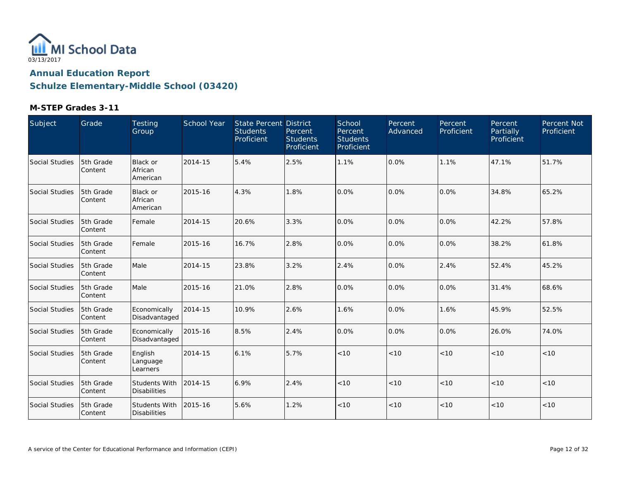

| Subject        | Grade                | Testing<br>Group                       | School Year | State Percent District<br><b>Students</b><br>Proficient | Percent<br><b>Students</b><br>Proficient | School<br>Percent<br><b>Students</b><br>Proficient | <b>Percent</b><br>Advanced | Percent<br>Proficient | Percent<br>Partially<br>Proficient | Percent Not<br>Proficient |
|----------------|----------------------|----------------------------------------|-------------|---------------------------------------------------------|------------------------------------------|----------------------------------------------------|----------------------------|-----------------------|------------------------------------|---------------------------|
| Social Studies | 5th Grade<br>Content | Black or<br>African<br>American        | 2014-15     | 5.4%                                                    | 2.5%                                     | 1.1%                                               | 0.0%                       | 1.1%                  | 47.1%                              | 51.7%                     |
| Social Studies | 5th Grade<br>Content | <b>Black or</b><br>African<br>American | 2015-16     | 4.3%                                                    | 1.8%                                     | 0.0%                                               | 0.0%                       | 0.0%                  | 34.8%                              | 65.2%                     |
| Social Studies | 5th Grade<br>Content | Female                                 | 2014-15     | 20.6%                                                   | 3.3%                                     | 0.0%                                               | 0.0%                       | 0.0%                  | 42.2%                              | 57.8%                     |
| Social Studies | 5th Grade<br>Content | Female                                 | 2015-16     | 16.7%                                                   | 2.8%                                     | 0.0%                                               | 0.0%                       | 0.0%                  | 38.2%                              | 61.8%                     |
| Social Studies | 5th Grade<br>Content | Male                                   | 2014-15     | 23.8%                                                   | 3.2%                                     | 2.4%                                               | 0.0%                       | 2.4%                  | 52.4%                              | 45.2%                     |
| Social Studies | 5th Grade<br>Content | Male                                   | 2015-16     | 21.0%                                                   | 2.8%                                     | 0.0%                                               | 0.0%                       | 0.0%                  | 31.4%                              | 68.6%                     |
| Social Studies | 5th Grade<br>Content | Economically<br>Disadvantaged          | 2014-15     | 10.9%                                                   | 2.6%                                     | 1.6%                                               | 0.0%                       | 1.6%                  | 45.9%                              | 52.5%                     |
| Social Studies | 5th Grade<br>Content | Economically<br>Disadvantaged          | 2015-16     | 8.5%                                                    | 2.4%                                     | 0.0%                                               | 0.0%                       | 0.0%                  | 26.0%                              | 74.0%                     |
| Social Studies | 5th Grade<br>Content | English<br>Language<br>Learners        | 2014-15     | 6.1%                                                    | 5.7%                                     | < 10                                               | < 10                       | < 10                  | < 10                               | < 10                      |
| Social Studies | 5th Grade<br>Content | Students With<br><b>Disabilities</b>   | 2014-15     | 6.9%                                                    | 2.4%                                     | < 10                                               | < 10                       | < 10                  | < 10                               | < 10                      |
| Social Studies | 5th Grade<br>Content | Students With<br><b>Disabilities</b>   | 2015-16     | 5.6%                                                    | 1.2%                                     | < 10                                               | < 10                       | < 10                  | < 10                               | < 10                      |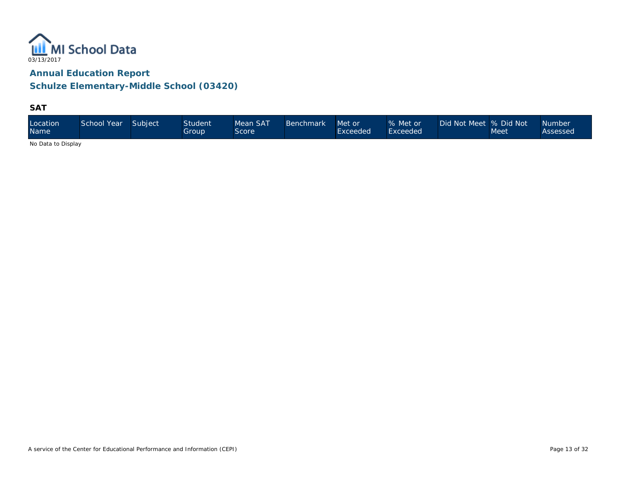

**Schulze Elementary-Middle School (03420)**

**SAT**

| Location<br><b>Name</b> | School Year Subject |  | <b>Student</b><br>Group. | Mean SAT<br>Score | <b>Benchmark</b> | Met or<br>Exceeded | % Met or<br>Exceeded | Did Not Meet % Did Not | Meet | <b>Number</b><br>Assessed |
|-------------------------|---------------------|--|--------------------------|-------------------|------------------|--------------------|----------------------|------------------------|------|---------------------------|
|-------------------------|---------------------|--|--------------------------|-------------------|------------------|--------------------|----------------------|------------------------|------|---------------------------|

No Data to Display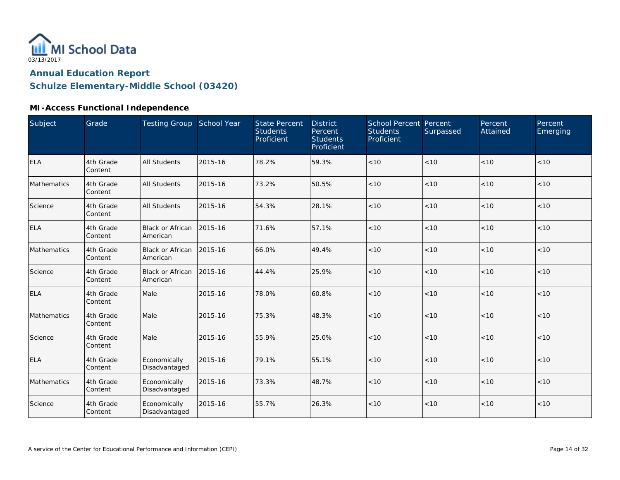

# **MI-Access Functional Independence**

| Subject     | Grade                | Testing Group School Year           |         | <b>State Percent</b><br><b>Students</b><br>Proficient | <b>District</b><br>Percent<br><b>Students</b><br>Proficient | <b>School Percent Percent</b><br><b>Students</b><br>Proficient | Surpassed | Percent<br>Attained | Percent<br>Emerging |
|-------------|----------------------|-------------------------------------|---------|-------------------------------------------------------|-------------------------------------------------------------|----------------------------------------------------------------|-----------|---------------------|---------------------|
| <b>ELA</b>  | 4th Grade<br>Content | <b>All Students</b>                 | 2015-16 | 78.2%                                                 | 59.3%                                                       | < 10                                                           | <10       | < 10                | < 10                |
| Mathematics | 4th Grade<br>Content | <b>All Students</b>                 | 2015-16 | 73.2%                                                 | 50.5%                                                       | < 10                                                           | < 10      | < 10                | < 10                |
| Science     | 4th Grade<br>Content | <b>All Students</b>                 | 2015-16 | 54.3%                                                 | 28.1%                                                       | < 10                                                           | < 10      | < 10                | < 10                |
| <b>ELA</b>  | 4th Grade<br>Content | <b>Black or African</b><br>American | 2015-16 | 71.6%                                                 | 57.1%                                                       | < 10                                                           | < 10      | < 10                | < 10                |
| Mathematics | 4th Grade<br>Content | <b>Black or African</b><br>American | 2015-16 | 66.0%                                                 | 49.4%                                                       | < 10                                                           | < 10      | < 10                | < 10                |
| Science     | 4th Grade<br>Content | Black or African<br>American        | 2015-16 | 44.4%                                                 | 25.9%                                                       | < 10                                                           | < 10      | < 10                | < 10                |
| <b>ELA</b>  | 4th Grade<br>Content | Male                                | 2015-16 | 78.0%                                                 | 60.8%                                                       | < 10                                                           | < 10      | < 10                | < 10                |
| Mathematics | 4th Grade<br>Content | Male                                | 2015-16 | 75.3%                                                 | 48.3%                                                       | < 10                                                           | < 10      | < 10                | $<10$               |
| Science     | 4th Grade<br>Content | Male                                | 2015-16 | 55.9%                                                 | 25.0%                                                       | < 10                                                           | < 10      | < 10                | < 10                |
| <b>ELA</b>  | 4th Grade<br>Content | Economically<br>Disadvantaged       | 2015-16 | 79.1%                                                 | 55.1%                                                       | < 10                                                           | < 10      | < 10                | < 10                |
| Mathematics | 4th Grade<br>Content | Economically<br>Disadvantaged       | 2015-16 | 73.3%                                                 | 48.7%                                                       | < 10                                                           | < 10      | < 10                | < 10                |
| Science     | 4th Grade<br>Content | Economically<br>Disadvantaged       | 2015-16 | 55.7%                                                 | 26.3%                                                       | < 10                                                           | < 10      | < 10                | $<10$               |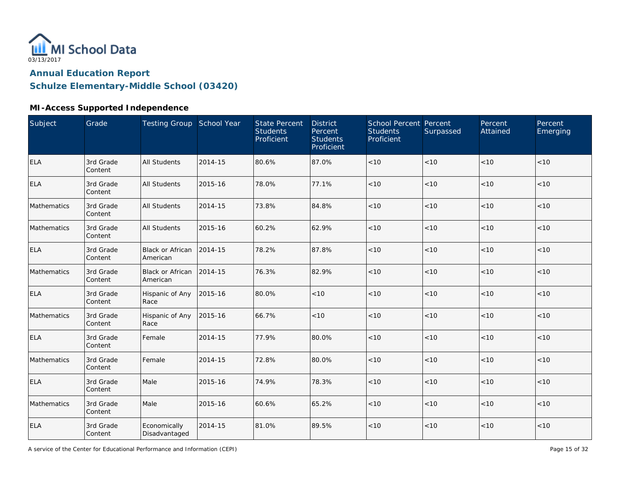

# **MI-Access Supported Independence**

| Subject     | Grade                | Testing Group School Year           |         | <b>State Percent</b><br><b>Students</b><br>Proficient | <b>District</b><br>Percent<br><b>Students</b><br>Proficient | School Percent Percent<br><b>Students</b><br>Proficient | Surpassed | Percent<br>Attained | Percent<br>Emerging |
|-------------|----------------------|-------------------------------------|---------|-------------------------------------------------------|-------------------------------------------------------------|---------------------------------------------------------|-----------|---------------------|---------------------|
| <b>ELA</b>  | 3rd Grade<br>Content | <b>All Students</b>                 | 2014-15 | 80.6%                                                 | 87.0%                                                       | $<10$                                                   | < 10      | < 10                | < 10                |
| <b>ELA</b>  | 3rd Grade<br>Content | <b>All Students</b>                 | 2015-16 | 78.0%                                                 | 77.1%                                                       | $<10$                                                   | $<10$     | < 10                | < 10                |
| Mathematics | 3rd Grade<br>Content | <b>All Students</b>                 | 2014-15 | 73.8%                                                 | 84.8%                                                       | < 10                                                    | < 10      | < 10                | < 10                |
| Mathematics | 3rd Grade<br>Content | <b>All Students</b>                 | 2015-16 | 60.2%                                                 | 62.9%                                                       | < 10                                                    | < 10      | < 10                | $<10$               |
| <b>ELA</b>  | 3rd Grade<br>Content | Black or African<br>American        | 2014-15 | 78.2%                                                 | 87.8%                                                       | < 10                                                    | < 10      | < 10                | < 10                |
| Mathematics | 3rd Grade<br>Content | <b>Black or African</b><br>American | 2014-15 | 76.3%                                                 | 82.9%                                                       | < 10                                                    | < 10      | < 10                | < 10                |
| <b>ELA</b>  | 3rd Grade<br>Content | Hispanic of Any<br>Race             | 2015-16 | 80.0%                                                 | < 10                                                        | < 10                                                    | < 10      | < 10                | < 10                |
| Mathematics | 3rd Grade<br>Content | Hispanic of Any<br>Race             | 2015-16 | 66.7%                                                 | $<10$                                                       | $<10$                                                   | $<10$     | < 10                | < 10                |
| ELA         | 3rd Grade<br>Content | Female                              | 2014-15 | 77.9%                                                 | 80.0%                                                       | $<10$                                                   | < 10      | <10                 | < 10                |
| Mathematics | 3rd Grade<br>Content | Female                              | 2014-15 | 72.8%                                                 | 80.0%                                                       | $<10$                                                   | < 10      | < 10                | < 10                |
| <b>ELA</b>  | 3rd Grade<br>Content | Male                                | 2015-16 | 74.9%                                                 | 78.3%                                                       | < 10                                                    | < 10      | < 10                | < 10                |
| Mathematics | 3rd Grade<br>Content | Male                                | 2015-16 | 60.6%                                                 | 65.2%                                                       | < 10                                                    | < 10      | < 10                | < 10                |
| <b>ELA</b>  | 3rd Grade<br>Content | Economically<br>Disadvantaged       | 2014-15 | 81.0%                                                 | 89.5%                                                       | $<10$                                                   | $<10$     | < 10                | < 10                |

A service of the Center for Educational Performance and Information (CEPI)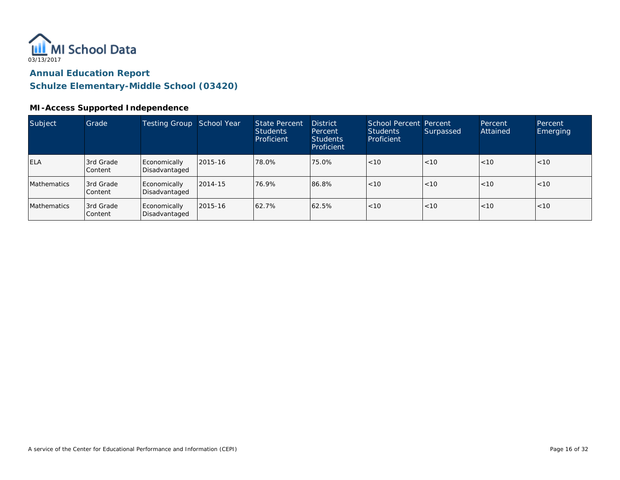

#### **MI-Access Supported Independence**

| Subject            | Grade                | Testing Group                 | School Year | <b>State Percent</b><br><b>Students</b><br>Proficient | <b>District</b><br>Percent<br><b>Students</b><br>Proficient | School Percent Percent<br><b>Students</b><br><b>Proficient</b> | Surpassed | Percent<br>Attained | Percent<br>Emerging |
|--------------------|----------------------|-------------------------------|-------------|-------------------------------------------------------|-------------------------------------------------------------|----------------------------------------------------------------|-----------|---------------------|---------------------|
| <b>ELA</b>         | 3rd Grade<br>Content | Economically<br>Disadvantaged | 2015-16     | 78.0%                                                 | 75.0%                                                       | < 10                                                           | < 10      | < 10                | < 10                |
| <b>Mathematics</b> | 3rd Grade<br>Content | Economically<br>Disadvantaged | 2014-15     | 76.9%                                                 | 86.8%                                                       | < 10                                                           | < 10      | < 10                | < 10                |
| <b>Mathematics</b> | 3rd Grade<br>Content | Economically<br>Disadvantaged | 2015-16     | 62.7%                                                 | 62.5%                                                       | < 10                                                           | < 10      | < 10                | < 10                |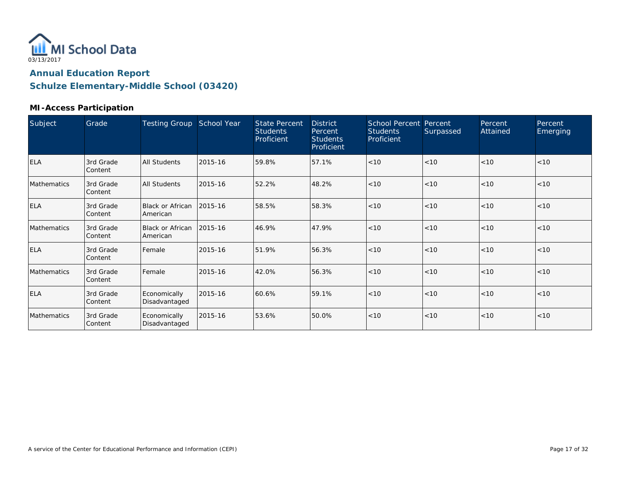

#### **MI-Access Participation**

| Subject     | Grade                | <b>Testing Group</b>          | School Year | <b>State Percent</b><br><b>Students</b><br>Proficient | <b>District</b><br>Percent<br><b>Students</b><br>Proficient | School Percent Percent<br><b>Students</b><br>Proficient | Surpassed | Percent<br>Attained | Percent<br>Emerging |
|-------------|----------------------|-------------------------------|-------------|-------------------------------------------------------|-------------------------------------------------------------|---------------------------------------------------------|-----------|---------------------|---------------------|
| <b>ELA</b>  | 3rd Grade<br>Content | <b>All Students</b>           | 2015-16     | 59.8%                                                 | 57.1%                                                       | < 10                                                    | < 10      | < 10                | < 10                |
| Mathematics | 3rd Grade<br>Content | <b>All Students</b>           | 2015-16     | 52.2%                                                 | 48.2%                                                       | < 10                                                    | < 10      | < 10                | < 10                |
| <b>ELA</b>  | 3rd Grade<br>Content | Black or African<br>American  | 2015-16     | 58.5%                                                 | 58.3%                                                       | < 10                                                    | $ $ < 10  | < 10                | < 10                |
| Mathematics | 3rd Grade<br>Content | Black or African<br>American  | 2015-16     | 46.9%                                                 | 47.9%                                                       | < 10                                                    | < 10      | < 10                | < 10                |
| <b>ELA</b>  | 3rd Grade<br>Content | Female                        | 2015-16     | 51.9%                                                 | 56.3%                                                       | < 10                                                    | < 10      | < 10                | < 10                |
| Mathematics | 3rd Grade<br>Content | Female                        | 2015-16     | 42.0%                                                 | 56.3%                                                       | < 10                                                    | < 10      | < 10                | < 10                |
| <b>ELA</b>  | 3rd Grade<br>Content | Economically<br>Disadvantaged | 2015-16     | 60.6%                                                 | 59.1%                                                       | < 10                                                    | < 10      | < 10                | < 10                |
| Mathematics | 3rd Grade<br>Content | Economically<br>Disadvantaged | 2015-16     | 53.6%                                                 | 50.0%                                                       | < 10                                                    | < 10      | < 10                | < 10                |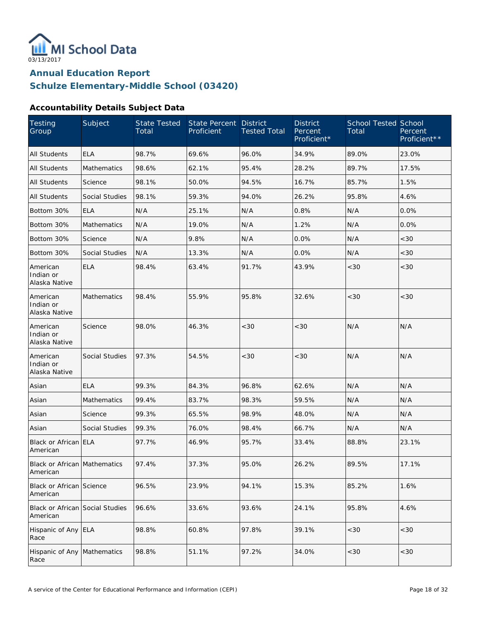

**Schulze Elementary-Middle School (03420)**

#### **Accountability Details Subject Data**

| Testing<br>Group                            | Subject            | <b>State Tested</b><br>Total | State Percent<br>Proficient | <b>District</b><br><b>Tested Total</b> | <b>District</b><br>Percent<br>Proficient* | School Tested School<br>Total | Percent<br>Proficient** |
|---------------------------------------------|--------------------|------------------------------|-----------------------------|----------------------------------------|-------------------------------------------|-------------------------------|-------------------------|
| <b>All Students</b>                         | <b>ELA</b>         | 98.7%                        | 69.6%                       | 96.0%                                  | 34.9%                                     | 89.0%                         | 23.0%                   |
| <b>All Students</b>                         | <b>Mathematics</b> | 98.6%                        | 62.1%                       | 95.4%                                  | 28.2%                                     | 89.7%                         | 17.5%                   |
| <b>All Students</b>                         | Science            | 98.1%                        | 50.0%                       | 94.5%                                  | 16.7%                                     | 85.7%                         | 1.5%                    |
| <b>All Students</b>                         | Social Studies     | 98.1%                        | 59.3%                       | 94.0%                                  | 26.2%                                     | 95.8%                         | 4.6%                    |
| Bottom 30%                                  | <b>ELA</b>         | N/A                          | 25.1%                       | N/A                                    | 0.8%                                      | N/A                           | 0.0%                    |
| Bottom 30%                                  | <b>Mathematics</b> | N/A                          | 19.0%                       | N/A                                    | 1.2%                                      | N/A                           | 0.0%                    |
| Bottom 30%                                  | Science            | N/A                          | 9.8%                        | N/A                                    | 0.0%                                      | N/A                           | <30                     |
| Bottom 30%                                  | Social Studies     | N/A                          | 13.3%                       | N/A                                    | 0.0%                                      | N/A                           | <30                     |
| American<br>Indian or<br>Alaska Native      | <b>ELA</b>         | 98.4%                        | 63.4%                       | 91.7%                                  | 43.9%                                     | <30                           | <30                     |
| American<br>Indian or<br>Alaska Native      | Mathematics        | 98.4%                        | 55.9%                       | 95.8%                                  | 32.6%                                     | < 30                          | <30                     |
| American<br>Indian or<br>Alaska Native      | Science            | 98.0%                        | 46.3%                       | <30                                    | <30                                       | N/A                           | N/A                     |
| American<br>Indian or<br>Alaska Native      | Social Studies     | 97.3%                        | 54.5%                       | <30                                    | <30                                       | N/A                           | N/A                     |
| Asian                                       | <b>ELA</b>         | 99.3%                        | 84.3%                       | 96.8%                                  | 62.6%                                     | N/A                           | N/A                     |
| Asian                                       | Mathematics        | 99.4%                        | 83.7%                       | 98.3%                                  | 59.5%                                     | N/A                           | N/A                     |
| Asian                                       | Science            | 99.3%                        | 65.5%                       | 98.9%                                  | 48.0%                                     | N/A                           | N/A                     |
| Asian                                       | Social Studies     | 99.3%                        | 76.0%                       | 98.4%                                  | 66.7%                                     | N/A                           | N/A                     |
| Black or African ELA<br>American            |                    | 97.7%                        | 46.9%                       | 95.7%                                  | 33.4%                                     | 88.8%                         | 23.1%                   |
| Black or African Mathematics<br>American    |                    | 97.4%                        | 37.3%                       | 95.0%                                  | 26.2%                                     | 89.5%                         | 17.1%                   |
| Black or African Science<br>American        |                    | 96.5%                        | 23.9%                       | 94.1%                                  | 15.3%                                     | 85.2%                         | 1.6%                    |
| Black or African Social Studies<br>American |                    | 96.6%                        | 33.6%                       | 93.6%                                  | 24.1%                                     | 95.8%                         | 4.6%                    |
| Hispanic of Any<br>Race                     | <b>ELA</b>         | 98.8%                        | 60.8%                       | 97.8%                                  | 39.1%                                     | <30                           | <30                     |
| Hispanic of Any Mathematics<br>Race         |                    | 98.8%                        | 51.1%                       | 97.2%                                  | 34.0%                                     | $<30$                         | <30                     |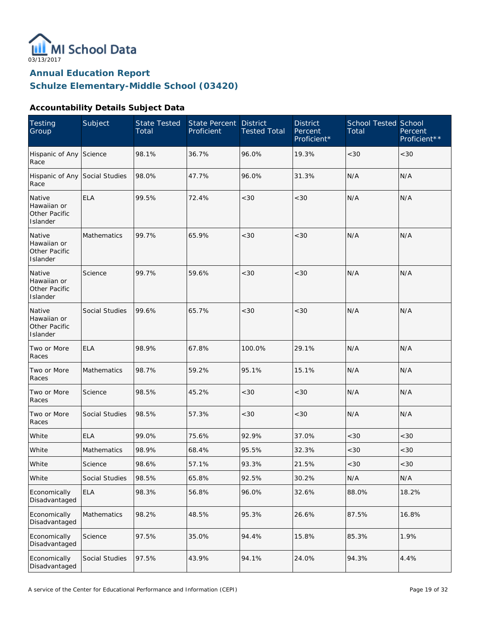

**Schulze Elementary-Middle School (03420)**

#### **Accountability Details Subject Data**

| <b>Testing</b><br>Group                            | Subject            | <b>State Tested</b><br>Total | <b>State Percent</b><br>Proficient | <b>District</b><br><b>Tested Total</b> | <b>District</b><br>Percent<br>Proficient* | <b>School Tested School</b><br>Total | Percent<br>Proficient** |
|----------------------------------------------------|--------------------|------------------------------|------------------------------------|----------------------------------------|-------------------------------------------|--------------------------------------|-------------------------|
| Hispanic of Any Science<br>Race                    |                    | 98.1%                        | 36.7%                              | 96.0%                                  | 19.3%                                     | < 30                                 | <30                     |
| Hispanic of Any Social Studies<br>Race             |                    | 98.0%                        | 47.7%                              | 96.0%                                  | 31.3%                                     | N/A                                  | N/A                     |
| Native<br>Hawaiian or<br>Other Pacific<br>Islander | <b>ELA</b>         | 99.5%                        | 72.4%                              | < 30                                   | <30                                       | N/A                                  | N/A                     |
| Native<br>Hawaiian or<br>Other Pacific<br>Islander | Mathematics        | 99.7%                        | 65.9%                              | < 30                                   | <30                                       | N/A                                  | N/A                     |
| Native<br>Hawaiian or<br>Other Pacific<br>Islander | Science            | 99.7%                        | 59.6%                              | < 30                                   | <30                                       | N/A                                  | N/A                     |
| Native<br>Hawaiian or<br>Other Pacific<br>Islander | Social Studies     | 99.6%                        | 65.7%                              | < 30                                   | <30                                       | N/A                                  | N/A                     |
| Two or More<br>Races                               | <b>ELA</b>         | 98.9%                        | 67.8%                              | 100.0%                                 | 29.1%                                     | N/A                                  | N/A                     |
| Two or More<br>Races                               | Mathematics        | 98.7%                        | 59.2%                              | 95.1%                                  | 15.1%                                     | N/A                                  | N/A                     |
| Two or More<br>Races                               | Science            | 98.5%                        | 45.2%                              | <30                                    | <30                                       | N/A                                  | N/A                     |
| Two or More<br>Races                               | Social Studies     | 98.5%                        | 57.3%                              | < 30                                   | $<30$                                     | N/A                                  | N/A                     |
| White                                              | <b>ELA</b>         | 99.0%                        | 75.6%                              | 92.9%                                  | 37.0%                                     | <30                                  | <30                     |
| White                                              | <b>Mathematics</b> | 98.9%                        | 68.4%                              | 95.5%                                  | 32.3%                                     | <30                                  | <30                     |
| White                                              | Science            | 98.6%                        | 57.1%                              | 93.3%                                  | 21.5%                                     | $<30\,$                              | $<30$                   |
| White                                              | Social Studies     | 98.5%                        | 65.8%                              | 92.5%                                  | 30.2%                                     | N/A                                  | N/A                     |
| Economically<br>Disadvantaged                      | <b>ELA</b>         | 98.3%                        | 56.8%                              | 96.0%                                  | 32.6%                                     | 88.0%                                | 18.2%                   |
| Economically<br>Disadvantaged                      | Mathematics        | 98.2%                        | 48.5%                              | 95.3%                                  | 26.6%                                     | 87.5%                                | 16.8%                   |
| Economically<br>Disadvantaged                      | Science            | 97.5%                        | 35.0%                              | 94.4%                                  | 15.8%                                     | 85.3%                                | 1.9%                    |
| Economically<br>Disadvantaged                      | Social Studies     | 97.5%                        | 43.9%                              | 94.1%                                  | 24.0%                                     | 94.3%                                | 4.4%                    |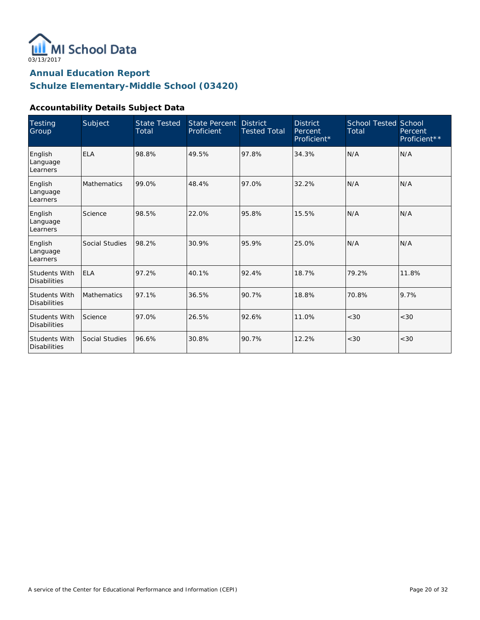

**Schulze Elementary-Middle School (03420)**

#### **Accountability Details Subject Data**

| <b>Testing</b><br>Group                     | Subject            | <b>State Tested</b><br>Total | State Percent<br>Proficient | <b>District</b><br><b>Tested Total</b> | <b>District</b><br>Percent<br>Proficient* | <b>School Tested School</b><br>Total | Percent<br>Proficient** |
|---------------------------------------------|--------------------|------------------------------|-----------------------------|----------------------------------------|-------------------------------------------|--------------------------------------|-------------------------|
| English<br>Language<br>Learners             | <b>ELA</b>         | 98.8%                        | 49.5%                       | 97.8%                                  | 34.3%                                     | N/A                                  | N/A                     |
| English<br>Language<br>Learners             | <b>Mathematics</b> | 99.0%                        | 48.4%                       | 97.0%                                  | 32.2%                                     | N/A                                  | N/A                     |
| English<br>Language<br>Learners             | Science            | 98.5%                        | 22.0%                       | 95.8%                                  | 15.5%                                     | N/A                                  | N/A                     |
| English<br>Language<br>Learners             | Social Studies     | 98.2%                        | 30.9%                       | 95.9%                                  | 25.0%                                     | N/A                                  | N/A                     |
| <b>Students With</b><br><b>Disabilities</b> | <b>ELA</b>         | 97.2%                        | 40.1%                       | 92.4%                                  | 18.7%                                     | 79.2%                                | 11.8%                   |
| <b>Students With</b><br><b>Disabilities</b> | <b>Mathematics</b> | 97.1%                        | 36.5%                       | 90.7%                                  | 18.8%                                     | 70.8%                                | 9.7%                    |
| <b>Students With</b><br><b>Disabilities</b> | Science            | 97.0%                        | 26.5%                       | 92.6%                                  | 11.0%                                     | <30                                  | <30                     |
| <b>Students With</b><br><b>Disabilities</b> | Social Studies     | 96.6%                        | 30.8%                       | 90.7%                                  | 12.2%                                     | < 30                                 | <30                     |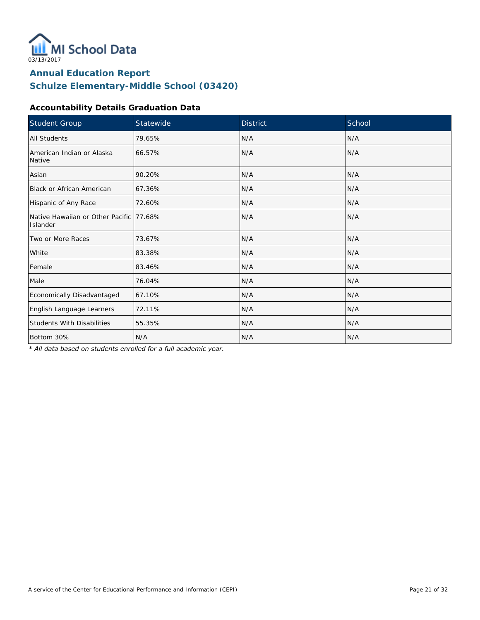

**Schulze Elementary-Middle School (03420)**

#### **Accountability Details Graduation Data**

| Student Group                                        | Statewide | <b>District</b> | School |
|------------------------------------------------------|-----------|-----------------|--------|
| All Students                                         | 79.65%    | N/A             | N/A    |
| American Indian or Alaska<br>Native                  | 66.57%    | N/A             | N/A    |
| Asian                                                | 90.20%    | N/A             | N/A    |
| Black or African American                            | 67.36%    | N/A             | N/A    |
| Hispanic of Any Race                                 | 72.60%    | N/A             | N/A    |
| Native Hawaiian or Other Pacific 177.68%<br>Islander |           | N/A             | N/A    |
| Two or More Races                                    | 73.67%    | N/A             | N/A    |
| White                                                | 83.38%    | N/A             | N/A    |
| Female                                               | 83.46%    | N/A             | N/A    |
| Male                                                 | 76.04%    | N/A             | N/A    |
| Economically Disadvantaged                           | 67.10%    | N/A             | N/A    |
| English Language Learners                            | 72.11%    | N/A             | N/A    |
| <b>Students With Disabilities</b>                    | 55.35%    | N/A             | N/A    |
| Bottom 30%                                           | N/A       | N/A             | N/A    |

*\* All data based on students enrolled for a full academic year.*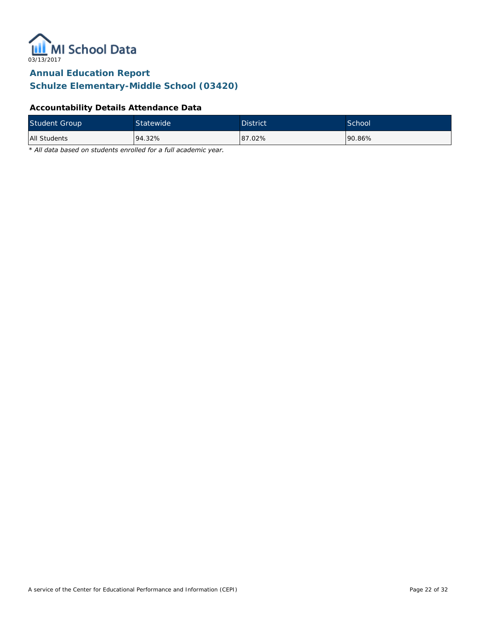

**Schulze Elementary-Middle School (03420)**

#### **Accountability Details Attendance Data**

| <b>Student Group</b> | Statewide | <b>District</b> | <b>School</b> |
|----------------------|-----------|-----------------|---------------|
| All Students         | 94.32%    | 87.02%          | 190.86%       |

*\* All data based on students enrolled for a full academic year.*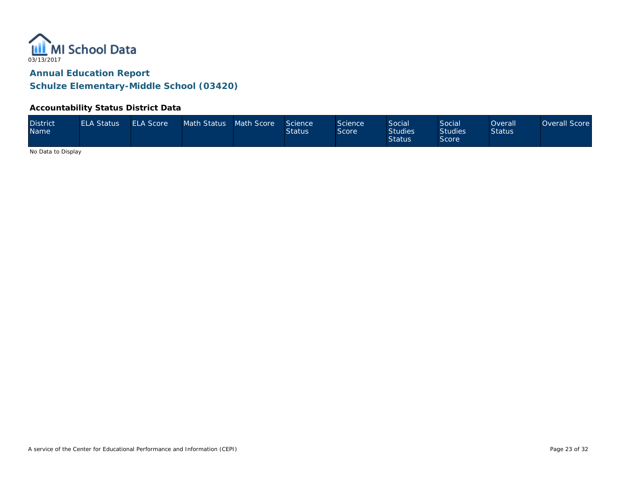

#### **Accountability Status District Data**

| <b>District</b><br><b>Name</b> | <b>ELA Status</b> | <b>ELA Score</b> | Math Status Math Score |  | Science<br><b>Status</b> | Science<br>Score | Social<br><b>Studies</b><br><b>Status</b> | <b>Social</b><br><b>Studies</b><br>Score <sup>®</sup> | Overall<br><b>Status</b> | Overall Score |
|--------------------------------|-------------------|------------------|------------------------|--|--------------------------|------------------|-------------------------------------------|-------------------------------------------------------|--------------------------|---------------|
|--------------------------------|-------------------|------------------|------------------------|--|--------------------------|------------------|-------------------------------------------|-------------------------------------------------------|--------------------------|---------------|

No Data to Display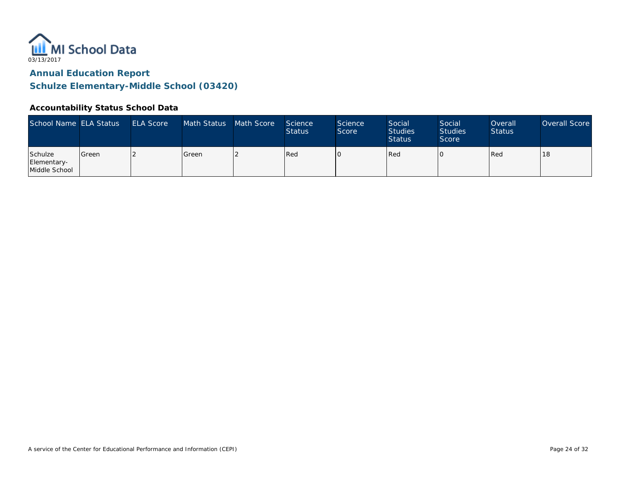

#### **Accountability Status School Data**

| School Name ELA Status                  |         | <b>ELA Score</b> | Math Status | Math Score | Science<br><b>Status</b> | <b>Science</b><br>Score | Social<br><b>Studies</b><br><b>Status</b> | Social<br><b>Studies</b><br>Score | Overall<br><b>Status</b> | Overall Score |
|-----------------------------------------|---------|------------------|-------------|------------|--------------------------|-------------------------|-------------------------------------------|-----------------------------------|--------------------------|---------------|
| Schulze<br>Elementary-<br>Middle School | l Green |                  | Green       |            | Red                      |                         | Red                                       |                                   | Red                      | 18            |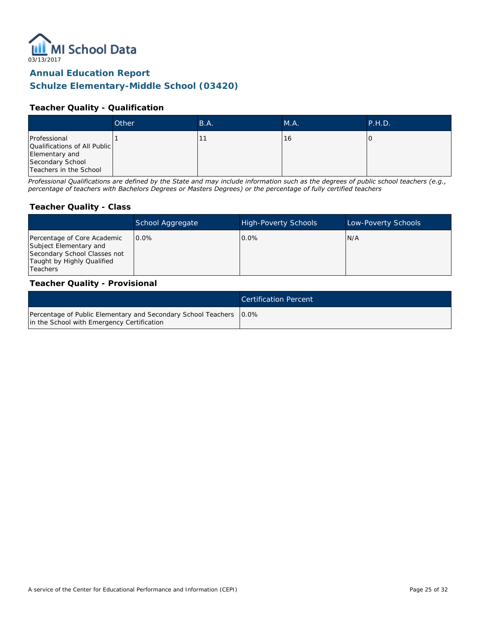

# **Schulze Elementary-Middle School (03420)**

#### **Teacher Quality - Qualification**

|                                                                                                              | Other | B.A. | M.A. | P.H.D. |
|--------------------------------------------------------------------------------------------------------------|-------|------|------|--------|
| Professional<br>Qualifications of All Public<br>Elementary and<br>Secondary School<br>Teachers in the School |       |      | 16   |        |

*Professional Qualifications are defined by the State and may include information such as the degrees of public school teachers (e.g., percentage of teachers with Bachelors Degrees or Masters Degrees) or the percentage of fully certified teachers*

#### **Teacher Quality - Class**

|                                                                                                                                        | School Aggregate | <b>High-Poverty Schools</b> | Low-Poverty Schools |
|----------------------------------------------------------------------------------------------------------------------------------------|------------------|-----------------------------|---------------------|
| Percentage of Core Academic<br>Subject Elementary and<br>Secondary School Classes not<br>Taught by Highly Qualified<br><b>Teachers</b> | $0.0\%$          | $0.0\%$                     | IN/A                |

#### **Teacher Quality - Provisional**

|                                                                                                                    | Certification Percent |
|--------------------------------------------------------------------------------------------------------------------|-----------------------|
| Percentage of Public Elementary and Secondary School Teachers   0.0%<br>in the School with Emergency Certification |                       |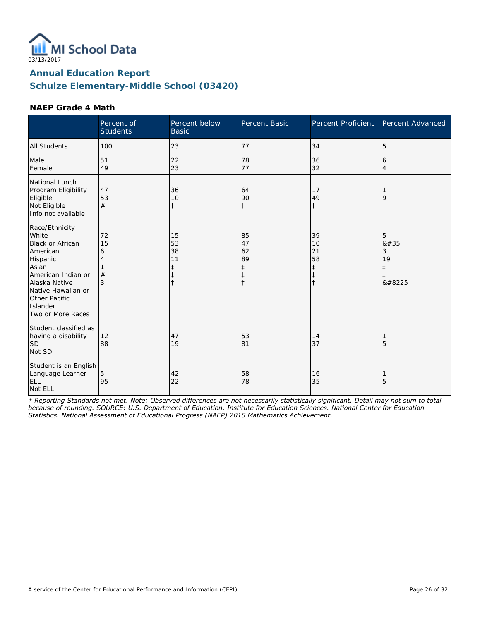

**Schulze Elementary-Middle School (03420)**

#### **NAEP Grade 4 Math**

|                                                                                                                                                                                                    | Percent of<br><b>Students</b> | Percent below<br><b>Basic</b>                                  | Percent Basic                                         | Percent Proficient                                             | Percent Advanced                                   |
|----------------------------------------------------------------------------------------------------------------------------------------------------------------------------------------------------|-------------------------------|----------------------------------------------------------------|-------------------------------------------------------|----------------------------------------------------------------|----------------------------------------------------|
| <b>All Students</b>                                                                                                                                                                                | 100                           | 23                                                             | 77                                                    | 34                                                             | 5                                                  |
| Male<br>Female                                                                                                                                                                                     | 51<br>49                      | 22<br>23                                                       | 78<br>77                                              | 36<br>32                                                       | 6<br>4                                             |
| National Lunch<br>Program Eligibility<br>Eligible<br>Not Eligible<br>Info not available                                                                                                            | 47<br>53<br>#                 | 36<br>10<br>$\ddagger$                                         | 64<br>90<br>$\ddagger$                                | 17<br>49<br>$\ddagger$                                         | 9<br>$\ddagger$                                    |
| Race/Ethnicity<br>White<br><b>Black or African</b><br>American<br>Hispanic<br>Asian<br>American Indian or<br>Alaska Native<br>Native Hawaiian or<br>Other Pacific<br>Islander<br>Two or More Races | 72<br>15<br>6<br>4<br>#<br>3  | 15<br>53<br>38<br>11<br>$\ddagger$<br>$\ddagger$<br>$\ddagger$ | 85<br>47<br>62<br>89<br>ŧ<br>$\ddagger$<br>$\ddagger$ | 39<br>10<br>21<br>58<br>$\ddagger$<br>$\ddagger$<br>$\ddagger$ | 5<br>#<br>3<br>19<br>$\ddagger$<br>$\ddagger$<br>‡ |
| Student classified as<br>having a disability<br><b>SD</b><br>Not SD                                                                                                                                | 12<br>88                      | 47<br>19                                                       | 53<br>81                                              | 14<br>37                                                       | 5                                                  |
| Student is an English<br>Language Learner<br>ELL<br>Not ELL                                                                                                                                        | 5<br>95                       | 42<br>22                                                       | 58<br>78                                              | 16<br>35                                                       | 5                                                  |

*‡ Reporting Standards not met. Note: Observed differences are not necessarily statistically significant. Detail may not sum to total because of rounding. SOURCE: U.S. Department of Education. Institute for Education Sciences. National Center for Education Statistics. National Assessment of Educational Progress (NAEP) 2015 Mathematics Achievement.*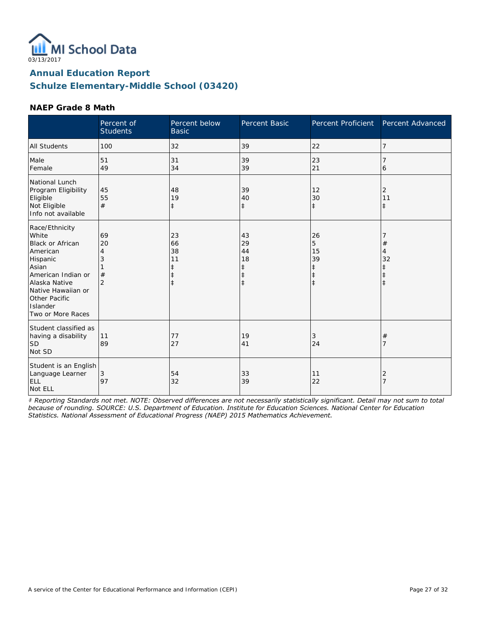

**Schulze Elementary-Middle School (03420)**

#### **NAEP Grade 8 Math**

|                                                                                                                                                                                                    | Percent of<br><b>Students</b>        | Percent below<br><b>Basic</b>                                  | Percent Basic                                | Percent Proficient                                            | Percent Advanced      |
|----------------------------------------------------------------------------------------------------------------------------------------------------------------------------------------------------|--------------------------------------|----------------------------------------------------------------|----------------------------------------------|---------------------------------------------------------------|-----------------------|
| <b>All Students</b>                                                                                                                                                                                | 100                                  | 32                                                             | 39                                           | 22                                                            | 7                     |
| Male<br>Female                                                                                                                                                                                     | 51<br>49                             | 31<br>34                                                       | 39<br>39                                     | 23<br>21                                                      | 6                     |
| National Lunch<br>Program Eligibility<br>Eligible<br>Not Eligible<br>Info not available                                                                                                            | 45<br>55<br>#                        | 48<br>19<br>$\ddagger$                                         | 39<br>40<br>$\ddagger$                       | 12<br>30<br>$\ddagger$                                        | 2<br>11<br>$\ddagger$ |
| Race/Ethnicity<br>White<br><b>Black or African</b><br>American<br>Hispanic<br>Asian<br>American Indian or<br>Alaska Native<br>Native Hawaiian or<br>Other Pacific<br>Islander<br>Two or More Races | 69<br>20<br>4<br>#<br>$\overline{2}$ | 23<br>66<br>38<br>11<br>$\ddagger$<br>$\ddagger$<br>$\ddagger$ | 43<br>29<br>44<br>18<br>ŧ<br>ŧ<br>$\ddagger$ | 26<br>5<br>15<br>39<br>$\ddagger$<br>$\ddagger$<br>$\ddagger$ | #<br>4<br>32          |
| Student classified as<br>having a disability<br><b>SD</b><br>Not SD                                                                                                                                | 11<br>89                             | 77<br>27                                                       | 19<br>41                                     | 3<br>24                                                       | $^{\#}$<br>7          |
| Student is an English<br>Language Learner<br><b>ELL</b><br>Not ELL                                                                                                                                 | 3<br>97                              | 54<br>32                                                       | 33<br>39                                     | 11<br>22                                                      | $\overline{2}$<br>7   |

*‡ Reporting Standards not met. NOTE: Observed differences are not necessarily statistically significant. Detail may not sum to total because of rounding. SOURCE: U.S. Department of Education. Institute for Education Sciences. National Center for Education Statistics. National Assessment of Educational Progress (NAEP) 2015 Mathematics Achievement.*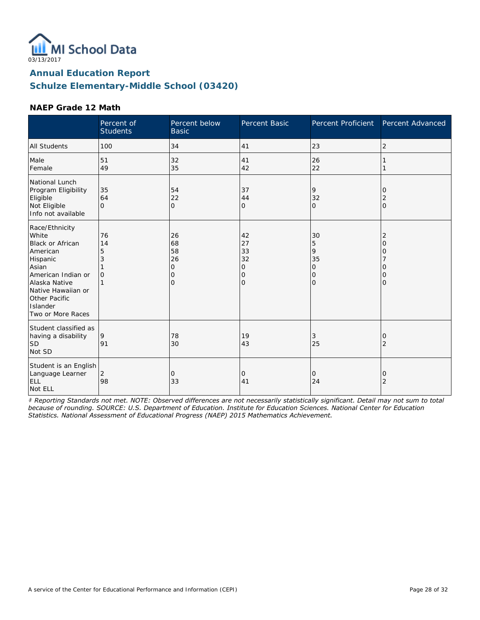

**Schulze Elementary-Middle School (03420)**

#### **NAEP Grade 12 Math**

|                                                                                                                                                                                                    | Percent of<br><b>Students</b>  | Percent below<br><b>Basic</b>                            | Percent Basic                       | Percent Proficient                       | Percent Advanced      |
|----------------------------------------------------------------------------------------------------------------------------------------------------------------------------------------------------|--------------------------------|----------------------------------------------------------|-------------------------------------|------------------------------------------|-----------------------|
| <b>All Students</b>                                                                                                                                                                                | 100                            | 34                                                       | 41                                  | 23                                       | 2                     |
| Male<br>Female                                                                                                                                                                                     | 51<br>49                       | 32<br>35                                                 | 41<br>42                            | 26<br>22                                 |                       |
| National Lunch<br>Program Eligibility<br>Eligible<br>Not Eligible<br>Info not available                                                                                                            | 35<br>64<br>$\Omega$           | 54<br>22<br>$\mathbf{O}$                                 | 37<br>44<br>O                       | 9<br>32<br>$\mathbf{O}$                  | O<br>2<br>$\Omega$    |
| Race/Ethnicity<br>White<br><b>Black or African</b><br>American<br>Hispanic<br>Asian<br>American Indian or<br>Alaska Native<br>Native Hawaiian or<br>Other Pacific<br>Islander<br>Two or More Races | 76<br>14<br>5<br>3<br>$\Omega$ | 26<br>68<br>58<br>26<br>$\mathbf{O}$<br>0<br>$\mathbf 0$ | 42<br>27<br>33<br>32<br>0<br>0<br>0 | 30<br>5<br>9<br>35<br>0<br>0<br>$\Omega$ | 2<br>Ω<br>Ω<br>0<br>Ω |
| Student classified as<br>having a disability<br><b>SD</b><br>Not SD                                                                                                                                | 9<br>91                        | 78<br>30                                                 | 19<br>43                            | 3<br>25                                  | O<br>2                |
| Student is an English<br>Language Learner<br>ELL<br>Not ELL                                                                                                                                        | 2<br>98                        | 0<br>33                                                  | 0<br>41                             | 0<br>24                                  | 0<br>2                |

*‡ Reporting Standards not met. NOTE: Observed differences are not necessarily statistically significant. Detail may not sum to total because of rounding. SOURCE: U.S. Department of Education. Institute for Education Sciences. National Center for Education Statistics. National Assessment of Educational Progress (NAEP) 2015 Mathematics Achievement.*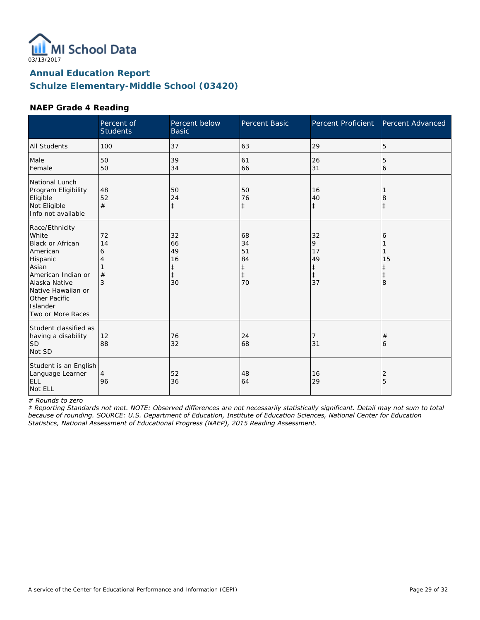

**Schulze Elementary-Middle School (03420)**

#### **NAEP Grade 4 Reading**

|                                                                                                                                                                                                    | Percent of<br><b>Students</b> | Percent below<br><b>Basic</b>                          | Percent Basic                                          | <b>Percent Proficient</b>                             | Percent Advanced                |
|----------------------------------------------------------------------------------------------------------------------------------------------------------------------------------------------------|-------------------------------|--------------------------------------------------------|--------------------------------------------------------|-------------------------------------------------------|---------------------------------|
| <b>All Students</b>                                                                                                                                                                                | 100                           | 37                                                     | 63                                                     | 29                                                    | 5                               |
| Male<br>Female                                                                                                                                                                                     | 50<br>50                      | 39<br>34                                               | 61<br>66                                               | 26<br>31                                              | 5<br>6                          |
| National Lunch<br>Program Eligibility<br>Eligible<br>Not Eligible<br>Info not available                                                                                                            | 48<br>52<br>#                 | 50<br>24<br>$\ddagger$                                 | 50<br>76<br>$\ddagger$                                 | 16<br>40<br>$\ddagger$                                | 8<br>$\ddagger$                 |
| Race/Ethnicity<br>White<br><b>Black or African</b><br>American<br>Hispanic<br>Asian<br>American Indian or<br>Alaska Native<br>Native Hawaiian or<br>Other Pacific<br>Islander<br>Two or More Races | 72<br>14<br>6<br>4<br>#<br>3  | 32<br>66<br>49<br>16<br>$\ddagger$<br>$\ddagger$<br>30 | 68<br>34<br>51<br>84<br>$\ddagger$<br>$\ddagger$<br>70 | 32<br>9<br>17<br>49<br>$\ddagger$<br>$\ddagger$<br>37 | 6<br>15<br>ŧ<br>$\ddagger$<br>8 |
| Student classified as<br>having a disability<br><b>SD</b><br>Not SD                                                                                                                                | 12<br>88                      | 76<br>32                                               | 24<br>68                                               | 7<br>31                                               | $^{\#}$<br>6                    |
| Student is an English<br>Language Learner<br>ELL<br>Not ELL                                                                                                                                        | 4<br>96                       | 52<br>36                                               | 48<br>64                                               | 16<br>29                                              | 2<br>5                          |

*# Rounds to zero*

*‡ Reporting Standards not met. NOTE: Observed differences are not necessarily statistically significant. Detail may not sum to total because of rounding. SOURCE: U.S. Department of Education, Institute of Education Sciences, National Center for Education Statistics, National Assessment of Educational Progress (NAEP), 2015 Reading Assessment.*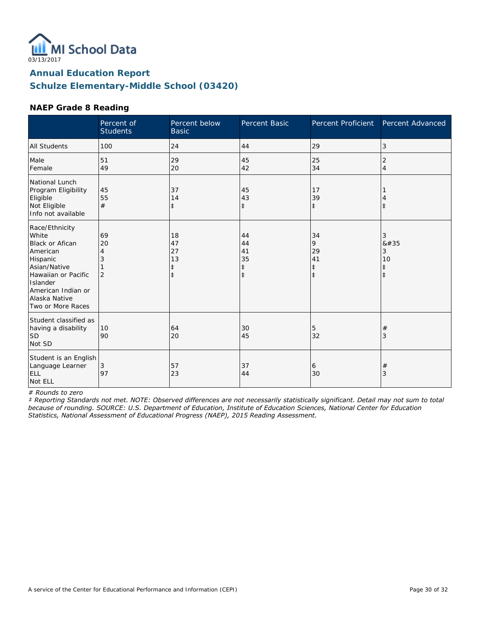

**Schulze Elementary-Middle School (03420)**

#### **NAEP Grade 8 Reading**

|                                                                                                                                                                                          | Percent of<br><b>Students</b>        | Percent below<br><b>Basic</b>           | Percent Basic                                    | <b>Percent Proficient</b>                       | Percent Advanced                                 |
|------------------------------------------------------------------------------------------------------------------------------------------------------------------------------------------|--------------------------------------|-----------------------------------------|--------------------------------------------------|-------------------------------------------------|--------------------------------------------------|
| <b>All Students</b>                                                                                                                                                                      | 100                                  | 24                                      | 44                                               | 29                                              | 3                                                |
| Male<br>Female                                                                                                                                                                           | 51<br>49                             | 29<br>20                                | 45<br>42                                         | 25<br>34                                        | 2<br>$\overline{4}$                              |
| National Lunch<br>Program Eligibility<br>Eligible<br>Not Eligible<br>Info not available                                                                                                  | 45<br>55<br>#                        | 37<br>14<br>$\ddagger$                  | 45<br>43<br>$\ddagger$                           | 17<br>39<br>$\ddagger$                          | İ                                                |
| Race/Ethnicity<br>White<br><b>Black or Afican</b><br>American<br>Hispanic<br>Asian/Native<br>Hawaiian or Pacific<br>Islander<br>American Indian or<br>Alaska Native<br>Two or More Races | 69<br>20<br>4<br>3<br>$\overline{2}$ | 18<br>47<br>27<br>13<br>‡<br>$\ddagger$ | 44<br>44<br>41<br>35<br>$\ddagger$<br>$\ddagger$ | 34<br>9<br>29<br>41<br>$\ddagger$<br>$\ddagger$ | 3<br>8#35<br>3<br>10<br>$\ddagger$<br>$\ddagger$ |
| Student classified as<br>having a disability<br><b>SD</b><br>Not SD                                                                                                                      | 10<br>90                             | 64<br>20                                | 30<br>45                                         | 5<br>32                                         | $\#$<br>3                                        |
| Student is an English<br>Language Learner<br><b>ELL</b><br>Not ELL                                                                                                                       | 3<br>97                              | 57<br>23                                | 37<br>44                                         | 6<br>30                                         | #<br>3                                           |

*# Rounds to zero*

*‡ Reporting Standards not met. NOTE: Observed differences are not necessarily statistically significant. Detail may not sum to total because of rounding. SOURCE: U.S. Department of Education, Institute of Education Sciences, National Center for Education Statistics, National Assessment of Educational Progress (NAEP), 2015 Reading Assessment.*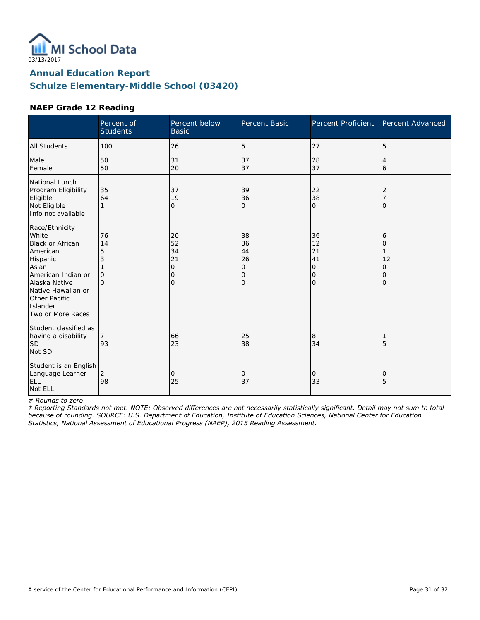

**Schulze Elementary-Middle School (03420)**

#### **NAEP Grade 12 Reading**

|                                                                                                                                                                                                    | Percent of<br><b>Students</b>                  | Percent below<br><b>Basic</b>                         | Percent Basic                                    | <b>Percent Proficient</b>                        | Percent Advanced                   |
|----------------------------------------------------------------------------------------------------------------------------------------------------------------------------------------------------|------------------------------------------------|-------------------------------------------------------|--------------------------------------------------|--------------------------------------------------|------------------------------------|
| <b>All Students</b>                                                                                                                                                                                | 100                                            | 26                                                    | 5                                                | 27                                               | 5                                  |
| Male<br>Female                                                                                                                                                                                     | 50<br>50                                       | 31<br>20                                              | 37<br>37                                         | 28<br>37                                         | 4<br>6                             |
| National Lunch<br>Program Eligibility<br>Eligible<br>Not Eligible<br>Info not available                                                                                                            | 35<br>64<br>1                                  | 37<br>19<br>0                                         | 39<br>36<br>0                                    | 22<br>38<br>$\mathbf{O}$                         | 2<br>Ω                             |
| Race/Ethnicity<br>White<br><b>Black or African</b><br>American<br>Hispanic<br>Asian<br>American Indian or<br>Alaska Native<br>Native Hawaiian or<br>Other Pacific<br>Islander<br>Two or More Races | 76<br>14<br>5<br>3<br>$\mathbf{O}$<br>$\Omega$ | 20<br>52<br>34<br>21<br>$\mathbf{O}$<br>0<br>$\Omega$ | 38<br>36<br>44<br>26<br>0<br>0<br>$\overline{O}$ | 36<br>12<br>21<br>41<br>0<br>0<br>$\overline{O}$ | 6<br>Ω<br>12<br>O<br>0<br>$\Omega$ |
| Student classified as<br>having a disability<br> SD<br>Not SD                                                                                                                                      | 7<br>93                                        | 66<br>23                                              | 25<br>38                                         | 8<br>34                                          | 5                                  |
| Student is an English<br>Language Learner<br>ELL<br>Not ELL                                                                                                                                        | 2<br>98                                        | 0<br>25                                               | 0<br>37                                          | 0<br>33                                          | 0<br>5                             |

*# Rounds to zero*

*‡ Reporting Standards not met. NOTE: Observed differences are not necessarily statistically significant. Detail may not sum to total because of rounding. SOURCE: U.S. Department of Education, Institute of Education Sciences, National Center for Education Statistics, National Assessment of Educational Progress (NAEP), 2015 Reading Assessment.*